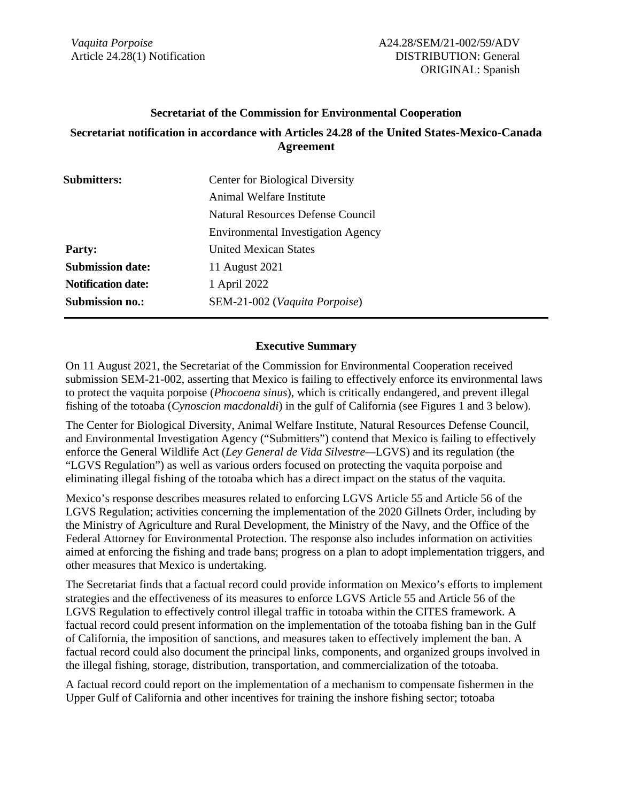*Vaquita Porpoise* Article 24.28(1) Notification

#### **Secretariat of the Commission for Environmental Cooperation**

### **Secretariat notification in accordance with Articles 24.28 of the United States-Mexico-Canada Agreement**

| <b>Submitters:</b>        | <b>Center for Biological Diversity</b>    |
|---------------------------|-------------------------------------------|
|                           | Animal Welfare Institute                  |
|                           | Natural Resources Defense Council         |
|                           | <b>Environmental Investigation Agency</b> |
| <b>Party:</b>             | United Mexican States                     |
| <b>Submission date:</b>   | 11 August 2021                            |
| <b>Notification date:</b> | 1 April 2022                              |
| <b>Submission no.:</b>    | SEM-21-002 (Vaquita Porpoise)             |

#### **Executive Summary**

On 11 August 2021, the Secretariat of the Commission for Environmental Cooperation received submission SEM-21-002, asserting that Mexico is failing to effectively enforce its environmental laws to protect the vaquita porpoise (*Phocoena sinus*), which is critically endangered, and prevent illegal fishing of the totoaba (*Cynoscion macdonaldi*) in the gulf of California (see Figures 1 and 3 below).

The Center for Biological Diversity, Animal Welfare Institute, Natural Resources Defense Council, and Environmental Investigation Agency ("Submitters") contend that Mexico is failing to effectively enforce the General Wildlife Act (*Ley General de Vida Silvestre—*LGVS) and its regulation (the "LGVS Regulation") as well as various orders focused on protecting the vaquita porpoise and eliminating illegal fishing of the totoaba which has a direct impact on the status of the vaquita.

Mexico's response describes measures related to enforcing LGVS Article 55 and Article 56 of the LGVS Regulation; activities concerning the implementation of the 2020 Gillnets Order, including by the Ministry of Agriculture and Rural Development, the Ministry of the Navy, and the Office of the Federal Attorney for Environmental Protection. The response also includes information on activities aimed at enforcing the fishing and trade bans; progress on a plan to adopt implementation triggers, and other measures that Mexico is undertaking.

The Secretariat finds that a factual record could provide information on Mexico's efforts to implement strategies and the effectiveness of its measures to enforce LGVS Article 55 and Article 56 of the LGVS Regulation to effectively control illegal traffic in totoaba within the CITES framework. A factual record could present information on the implementation of the totoaba fishing ban in the Gulf of California, the imposition of sanctions, and measures taken to effectively implement the ban. A factual record could also document the principal links, components, and organized groups involved in the illegal fishing, storage, distribution, transportation, and commercialization of the totoaba.

A factual record could report on the implementation of a mechanism to compensate fishermen in the Upper Gulf of California and other incentives for training the inshore fishing sector; totoaba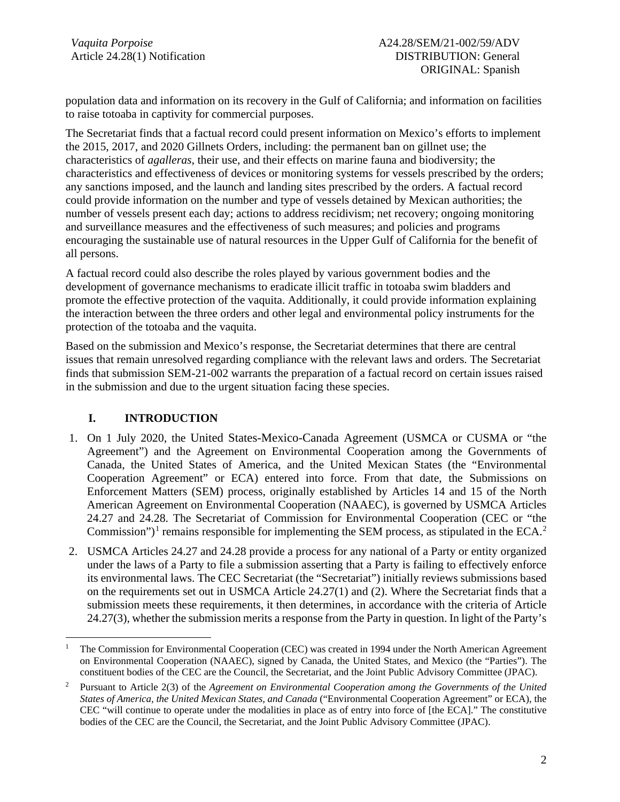population data and information on its recovery in the Gulf of California; and information on facilities to raise totoaba in captivity for commercial purposes.

The Secretariat finds that a factual record could present information on Mexico's efforts to implement the 2015, 2017, and 2020 Gillnets Orders, including: the permanent ban on gillnet use; the characteristics of *agalleras*, their use, and their effects on marine fauna and biodiversity; the characteristics and effectiveness of devices or monitoring systems for vessels prescribed by the orders; any sanctions imposed, and the launch and landing sites prescribed by the orders. A factual record could provide information on the number and type of vessels detained by Mexican authorities; the number of vessels present each day; actions to address recidivism; net recovery; ongoing monitoring and surveillance measures and the effectiveness of such measures; and policies and programs encouraging the sustainable use of natural resources in the Upper Gulf of California for the benefit of all persons.

A factual record could also describe the roles played by various government bodies and the development of governance mechanisms to eradicate illicit traffic in totoaba swim bladders and promote the effective protection of the vaquita. Additionally, it could provide information explaining the interaction between the three orders and other legal and environmental policy instruments for the protection of the totoaba and the vaquita.

Based on the submission and Mexico's response, the Secretariat determines that there are central issues that remain unresolved regarding compliance with the relevant laws and orders. The Secretariat finds that submission SEM-21-002 warrants the preparation of a factual record on certain issues raised in the submission and due to the urgent situation facing these species.

## **I. INTRODUCTION**

- 1. On 1 July 2020, the United States-Mexico-Canada Agreement (USMCA or CUSMA or "the Agreement") and the Agreement on Environmental Cooperation among the Governments of Canada, the United States of America, and the United Mexican States (the "Environmental Cooperation Agreement" or ECA) entered into force. From that date, the Submissions on Enforcement Matters (SEM) process, originally established by Articles 14 and 15 of the North American Agreement on Environmental Cooperation (NAAEC), is governed by USMCA Articles 24.27 and 24.28. The Secretariat of Commission for Environmental Cooperation (CEC or "the Commission")<sup>[1](#page-1-0)</sup> remains responsible for implementing the SEM process, as stipulated in the ECA.<sup>[2](#page-1-1)</sup>
- 2. USMCA Articles 24.27 and 24.28 provide a process for any national of a Party or entity organized under the laws of a Party to file a submission asserting that a Party is failing to effectively enforce its environmental laws. The CEC Secretariat (the "Secretariat") initially reviews submissions based on the requirements set out in USMCA Article 24.27(1) and (2). Where the Secretariat finds that a submission meets these requirements, it then determines, in accordance with the criteria of Article 24.27(3), whether the submission merits a response from the Party in question. In light of the Party's

<span id="page-1-0"></span><sup>1</sup> The Commission for Environmental Cooperation (CEC) was created in 1994 under the North American Agreement on Environmental Cooperation (NAAEC), signed by Canada, the United States, and Mexico (the "Parties"). The constituent bodies of the CEC are the Council, the Secretariat, and the Joint Public Advisory Committee (JPAC).

<span id="page-1-1"></span><sup>2</sup> Pursuant to Article 2(3) of the *Agreement on Environmental Cooperation among the Governments of the United States of America, the United Mexican States, and Canada* ("Environmental Cooperation Agreement" or ECA), the CEC "will continue to operate under the modalities in place as of entry into force of [the ECA]." The constitutive bodies of the CEC are the Council, the Secretariat, and the Joint Public Advisory Committee (JPAC).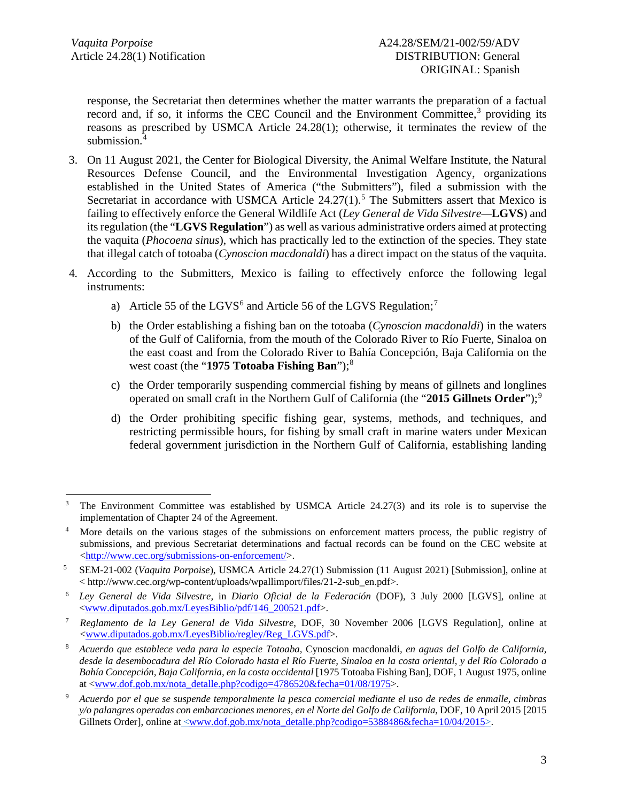response, the Secretariat then determines whether the matter warrants the preparation of a factual record and, if so, it informs the CEC Council and the Environment Committee,<sup>[3](#page-2-0)</sup> providing its reasons as prescribed by USMCA Article 24.28(1); otherwise, it terminates the review of the submission. [4](#page-2-1)

- 3. On 11 August 2021, the Center for Biological Diversity, the Animal Welfare Institute, the Natural Resources Defense Council, and the Environmental Investigation Agency, organizations established in the United States of America ("the Submitters"), filed a submission with the Secretariat in accordance with USMCA Article  $24.27(1)$ .<sup>[5](#page-2-2)</sup> The Submitters assert that Mexico is failing to effectively enforce the General Wildlife Act (*Ley General de Vida Silvestre—***LGVS**) and its regulation (the "**LGVS Regulation**") as well as various administrative orders aimed at protecting the vaquita (*Phocoena sinus*), which has practically led to the extinction of the species. They state that illegal catch of totoaba (*Cynoscion macdonaldi*) has a direct impact on the status of the vaquita.
- 4. According to the Submitters, Mexico is failing to effectively enforce the following legal instruments:
	- a) Article 55 of the LGVS<sup>[6](#page-2-3)</sup> and Article 56 of the LGVS Regulation;<sup>[7](#page-2-4)</sup>
	- b) the Order establishing a fishing ban on the totoaba (*Cynoscion macdonaldi*) in the waters of the Gulf of California, from the mouth of the Colorado River to Río Fuerte, Sinaloa on the east coast and from the Colorado River to Bahía Concepción, Baja California on the west coast (the "**1975 Totoaba Fishing Ban**");<sup>[8](#page-2-5)</sup>
	- c) the Order temporarily suspending commercial fishing by means of gillnets and longlines operated on small craft in the Northern Gulf of California (the "2015 Gillnets Order");<sup>[9](#page-2-6)</sup>
	- d) the Order prohibiting specific fishing gear, systems, methods, and techniques, and restricting permissible hours, for fishing by small craft in marine waters under Mexican federal government jurisdiction in the Northern Gulf of California, establishing landing

<span id="page-2-0"></span><sup>&</sup>lt;sup>3</sup> The Environment Committee was established by USMCA Article 24.27(3) and its role is to supervise the implementation of Chapter 24 of the Agreement.

<span id="page-2-1"></span><sup>&</sup>lt;sup>4</sup> More details on the various stages of the submissions on enforcement matters process, the public registry of submissions, and previous Secretariat determinations and factual records can be found on the CEC website at [<http://www.cec.org/submissions-on-enforcement/>](http://www.cec.org/submissions-on-enforcement/).

<span id="page-2-2"></span><sup>5</sup> SEM-21-002 (*Vaquita Porpoise*), USMCA Article 24.27(1) Submission (11 August 2021) [Submission], online at  $\langle h(t) \rangle$  /www.cec.org/wp-content/uploads/wpallimport/files/21-2-sub\_en.pdf>.

<span id="page-2-3"></span><sup>6</sup> *Ley General de Vida Silvestre,* in *Diario Oficial de la Federación* (DOF), 3 July 2000 [LGVS], online at [<www.diputados.gob.mx/LeyesBiblio/pdf/146\\_200521.pdf>](http://www.diputados.gob.mx/LeyesBiblio/pdf/146_200521.pdf).

<span id="page-2-4"></span><sup>7</sup> *Reglamento de la Ley General de Vida Silvestre*, DOF, 30 November 2006 [LGVS Regulation], online at [<www.diputados.gob.mx/LeyesBiblio/regley/Reg\\_LGVS.pdf>](http://www.diputados.gob.mx/LeyesBiblio/regley/Reg_LGVS.pdf).

<span id="page-2-5"></span><sup>8</sup> *Acuerdo que establece veda para la especie Totoaba,* Cynoscion macdonaldi*, en aguas del Golfo de California, desde la desembocadura del Río Colorado hasta el Río Fuerte, Sinaloa en la costa oriental, y del Río Colorado a Bahía Concepción, Baja California, en la costa occidental* [1975 Totoaba Fishing Ban], DOF, 1 August 1975, online at [<www.dof.gob.mx/nota\\_detalle.php?codigo=4786520&fecha=01/08/1975>](http://www.dof.gob.mx/nota_detalle.php?codigo=4786520&fecha=01/08/1975).

<span id="page-2-6"></span><sup>9</sup> *Acuerdo por el que se suspende temporalmente la pesca comercial mediante el uso de redes de enmalle, cimbras y/o palangres operadas con embarcaciones menores, en el Norte del Golfo de California*, DOF, 10 April 2015 [2015 Gillnets Order], online at [<www.dof.gob.mx/nota\\_detalle.php?codigo=5388486&fecha=10/04/2015>](http://www.dof.gob.mx/nota_detalle.php?codigo=5388486&fecha=10/04/2015).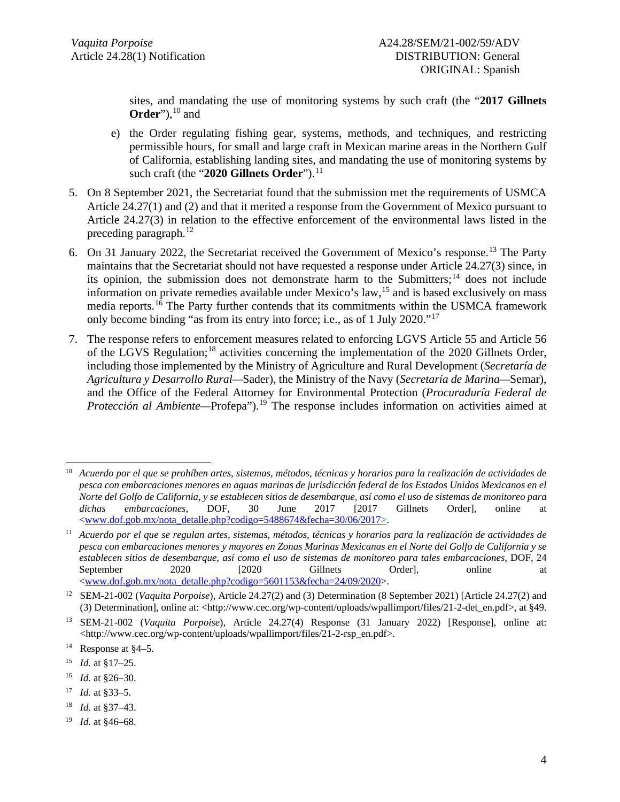sites, and mandating the use of monitoring systems by such craft (the "**2017 Gillnets Order**"), [10](#page-3-0) and

- e) the Order regulating fishing gear, systems, methods, and techniques, and restricting permissible hours, for small and large craft in Mexican marine areas in the Northern Gulf of California, establishing landing sites, and mandating the use of monitoring systems by such craft (the "2020 Gillnets Order").<sup>[11](#page-3-1)</sup>
- 5. On 8 September 2021, the Secretariat found that the submission met the requirements of USMCA Article 24.27(1) and (2) and that it merited a response from the Government of Mexico pursuant to Article 24.27(3) in relation to the effective enforcement of the environmental laws listed in the preceding paragraph.<sup>[12](#page-3-2)</sup>
- 6. On 31 January 2022, the Secretariat received the Government of Mexico's response. [13](#page-3-3) The Party maintains that the Secretariat should not have requested a response under Article 24.27(3) since, in its opinion, the submission does not demonstrate harm to the Submitters;<sup>[14](#page-3-4)</sup> does not include information on private remedies available under Mexico's law, [15](#page-3-5) and is based exclusively on mass media reports.<sup>[16](#page-3-6)</sup> The Party further contends that its commitments within the USMCA framework only become binding "as from its entry into force; i.e., as of 1 July 2020."[17](#page-3-7)
- 7. The response refers to enforcement measures related to enforcing LGVS Article 55 and Article 56 of the LGVS Regulation;[18](#page-3-8) activities concerning the implementation of the 2020 Gillnets Order, including those implemented by the Ministry of Agriculture and Rural Development (*Secretaría de Agricultura y Desarrollo Rural—*Sader), the Ministry of the Navy (*Secretaría de Marina—*Semar), and the Office of the Federal Attorney for Environmental Protection (*Procuraduría Federal de Protección al Ambiente*—Profepa").<sup>[19](#page-3-9)</sup> The response includes information on activities aimed at

<span id="page-3-0"></span><sup>10</sup> *Acuerdo por el que se prohíben artes, sistemas, métodos, técnicas y horarios para la realización de actividades de pesca con embarcaciones menores en aguas marinas de jurisdicción federal de los Estados Unidos Mexicanos en el Norte del Golfo de California, y se establecen sitios de desembarque, así como el uso de sistemas de monitoreo para dichas embarcaciones*, DOF, 30 June 2017 [2017 Gillnets Order], online at [<www.dof.gob.mx/nota\\_detalle.php?codigo=5488674&fecha=30/06/2017>](http://www.dof.gob.mx/nota_detalle.php?codigo=5488674&fecha=30/06/2017).

<span id="page-3-1"></span><sup>11</sup> *Acuerdo por el que se regulan artes, sistemas, métodos, técnicas y horarios para la realización de actividades de pesca con embarcaciones menores y mayores en Zonas Marinas Mexicanas en el Norte del Golfo de California y se establecen sitios de desembarque, así como el uso de sistemas de monitoreo para tales embarcaciones*, DOF, 24 September 2020 [2020 Gillnets Order], online at [<www.dof.gob.mx/nota\\_detalle.php?codigo=5601153&fecha=24/09/2020>](http://www.dof.gob.mx/nota_detalle.php?codigo=5601153&fecha=24/09/2020).

<span id="page-3-2"></span><sup>12</sup> SEM-21-002 (*Vaquita Porpoise*), Article 24.27(2) and (3) Determination (8 September 2021) [Article 24.27(2) and (3) Determination], online at: <http://www.cec.org/wp-content/uploads/wpallimport/files/21-2-det\_en.pdf>, at §49.

<span id="page-3-3"></span><sup>13</sup> SEM-21-002 (*Vaquita Porpoise*), Article 24.27(4) Response (31 January 2022) [Response], online at: <http://www.cec.org/wp-content/uploads/wpallimport/files/21-2-rsp\_en.pdf>.

<span id="page-3-4"></span><sup>14</sup> Response at §4–5.

<span id="page-3-5"></span><sup>15</sup> *Id.* at §17–25.

<span id="page-3-6"></span><sup>16</sup> *Id.* at §26–30.

<span id="page-3-7"></span><sup>17</sup> *Id.* at §33–5.

<span id="page-3-8"></span><sup>18</sup> *Id.* at §37–43.

<span id="page-3-9"></span><sup>19</sup> *Id.* at §46–68.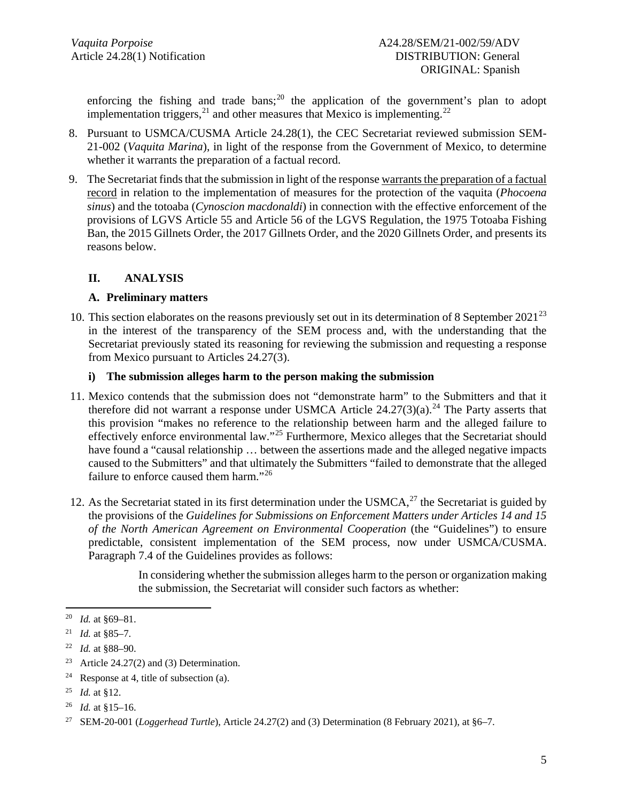enforcing the fishing and trade bans;<sup>[20](#page-4-0)</sup> the application of the government's plan to adopt implementation triggers, $^{21}$  $^{21}$  $^{21}$  and other measures that Mexico is implementing.<sup>[22](#page-4-2)</sup>

- 8. Pursuant to USMCA/CUSMA Article 24.28(1), the CEC Secretariat reviewed submission SEM-21-002 (*Vaquita Marina*), in light of the response from the Government of Mexico, to determine whether it warrants the preparation of a factual record.
- 9. The Secretariat finds that the submission in light of the response warrants the preparation of a factual record in relation to the implementation of measures for the protection of the vaquita (*Phocoena sinus*) and the totoaba (*Cynoscion macdonaldi*) in connection with the effective enforcement of the provisions of LGVS Article 55 and Article 56 of the LGVS Regulation, the 1975 Totoaba Fishing Ban, the 2015 Gillnets Order, the 2017 Gillnets Order, and the 2020 Gillnets Order, and presents its reasons below.

## **II. ANALYSIS**

### **A. Preliminary matters**

10. This section elaborates on the reasons previously set out in its determination of 8 September 2021<sup>[23](#page-4-3)</sup> in the interest of the transparency of the SEM process and, with the understanding that the Secretariat previously stated its reasoning for reviewing the submission and requesting a response from Mexico pursuant to Articles 24.27(3).

#### **i) The submission alleges harm to the person making the submission**

- 11. Mexico contends that the submission does not "demonstrate harm" to the Submitters and that it therefore did not warrant a response under USMCA Article  $24.27(3)(a)$  $24.27(3)(a)$ .<sup>24</sup> The Party asserts that this provision "makes no reference to the relationship between harm and the alleged failure to effectively enforce environmental law."[25](#page-4-5) Furthermore, Mexico alleges that the Secretariat should have found a "causal relationship ... between the assertions made and the alleged negative impacts caused to the Submitters" and that ultimately the Submitters "failed to demonstrate that the alleged failure to enforce caused them harm."[26](#page-4-6)
- 12. As the Secretariat stated in its first determination under the USMCA, [27](#page-4-7) the Secretariat is guided by the provisions of the *Guidelines for Submissions on Enforcement Matters under Articles 14 and 15 of the North American Agreement on Environmental Cooperation* (the "Guidelines") to ensure predictable, consistent implementation of the SEM process, now under USMCA/CUSMA. Paragraph 7.4 of the Guidelines provides as follows:

In considering whether the submission alleges harm to the person or organization making the submission, the Secretariat will consider such factors as whether:

<span id="page-4-0"></span><sup>20</sup> *Id.* at §69–81.

<span id="page-4-1"></span><sup>&</sup>lt;sup>21</sup> *Id.* at §85–7.

<span id="page-4-2"></span><sup>22</sup> *Id.* at §88–90.

<span id="page-4-3"></span><sup>&</sup>lt;sup>23</sup> Article 24.27(2) and (3) Determination.

<span id="page-4-4"></span><sup>&</sup>lt;sup>24</sup> Response at 4, title of subsection (a).

<span id="page-4-5"></span><sup>25</sup> *Id.* at §12.

<span id="page-4-6"></span><sup>26</sup> *Id.* at §15–16.

<span id="page-4-7"></span><sup>27</sup> SEM-20-001 (*Loggerhead Turtle*), Article 24.27(2) and (3) Determination (8 February 2021), at §6–7.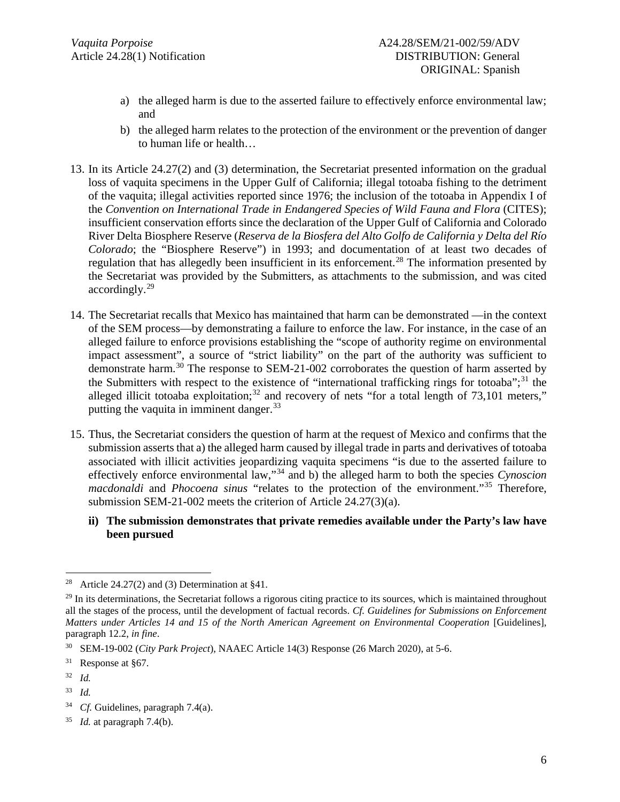- a) the alleged harm is due to the asserted failure to effectively enforce environmental law; and
- b) the alleged harm relates to the protection of the environment or the prevention of danger to human life or health…
- 13. In its Article 24.27(2) and (3) determination, the Secretariat presented information on the gradual loss of vaquita specimens in the Upper Gulf of California; illegal totoaba fishing to the detriment of the vaquita; illegal activities reported since 1976; the inclusion of the totoaba in Appendix I of the *Convention on International Trade in Endangered Species of Wild Fauna and Flora* (CITES); insufficient conservation efforts since the declaration of the Upper Gulf of California and Colorado River Delta Biosphere Reserve (*Reserva de la Biosfera del Alto Golfo de California y Delta del Río Colorado*; the "Biosphere Reserve") in 1993; and documentation of at least two decades of regulation that has allegedly been insufficient in its enforcement.<sup>[28](#page-5-0)</sup> The information presented by the Secretariat was provided by the Submitters, as attachments to the submission, and was cited accordingly. [29](#page-5-1)
- 14. The Secretariat recalls that Mexico has maintained that harm can be demonstrated —in the context of the SEM process—by demonstrating a failure to enforce the law. For instance, in the case of an alleged failure to enforce provisions establishing the "scope of authority regime on environmental impact assessment", a source of "strict liability" on the part of the authority was sufficient to demonstrate harm.<sup>[30](#page-5-2)</sup> The response to SEM-21-002 corroborates the question of harm asserted by the Submitters with respect to the existence of "international trafficking rings for totoaba";[31](#page-5-3) the alleged illicit totoaba exploitation;<sup>[32](#page-5-4)</sup> and recovery of nets "for a total length of  $73,101$  meters," putting the vaquita in imminent danger.<sup>[33](#page-5-5)</sup>
- 15. Thus, the Secretariat considers the question of harm at the request of Mexico and confirms that the submission asserts that a) the alleged harm caused by illegal trade in parts and derivatives of totoaba associated with illicit activities jeopardizing vaquita specimens "is due to the asserted failure to effectively enforce environmental law,"[34](#page-5-6) and b) the alleged harm to both the species *Cynoscion macdonaldi* and *Phocoena sinus* "relates to the protection of the environment."[35](#page-5-7) Therefore, submission SEM-21-002 meets the criterion of Article 24.27(3)(a).
	- **ii) The submission demonstrates that private remedies available under the Party's law have been pursued**

<span id="page-5-4"></span><sup>32</sup> *Id.*

<span id="page-5-0"></span><sup>&</sup>lt;sup>28</sup> Article 24.27(2) and (3) Determination at  $§41$ .

<span id="page-5-1"></span> $^{29}$  In its determinations, the Secretariat follows a rigorous citing practice to its sources, which is maintained throughout all the stages of the process, until the development of factual records. *Cf. Guidelines for Submissions on Enforcement Matters under Articles 14 and 15 of the North American Agreement on Environmental Cooperation [Guidelines],* paragraph 12.2, *in fine*.

<span id="page-5-2"></span><sup>30</sup> SEM-19-002 (*City Park Project*), NAAEC Article 14(3) Response (26 March 2020), at 5-6.

<span id="page-5-3"></span><sup>31</sup> Response at §67.

<span id="page-5-5"></span><sup>33</sup> *Id.*

<span id="page-5-6"></span><sup>&</sup>lt;sup>34</sup> *Cf.* Guidelines, paragraph 7.4(a).

<span id="page-5-7"></span><sup>35</sup> *Id.* at paragraph 7.4(b).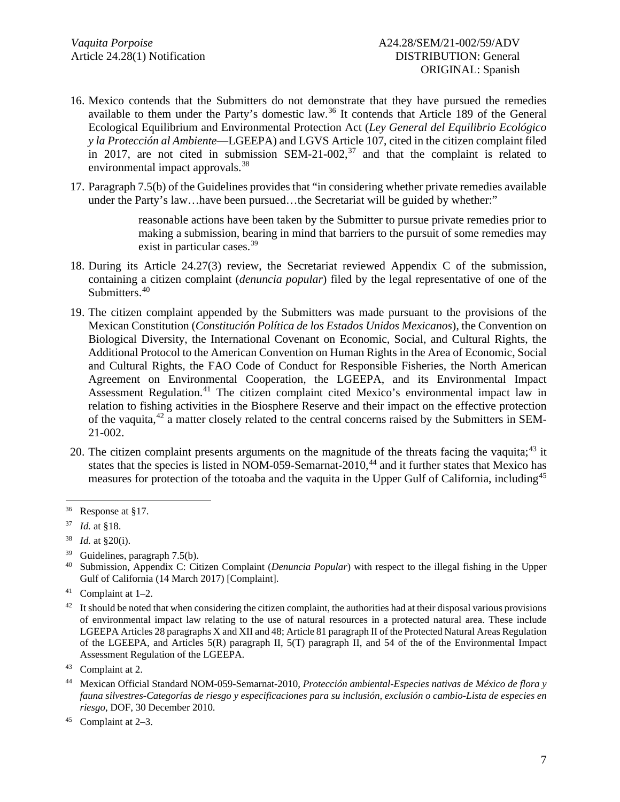- 16. Mexico contends that the Submitters do not demonstrate that they have pursued the remedies available to them under the Party's domestic law. [36](#page-6-0) It contends that Article 189 of the General Ecological Equilibrium and Environmental Protection Act (*Ley General del Equilibrio Ecológico y la Protección al Ambiente*—LGEEPA) and LGVS Article 107, cited in the citizen complaint filed in 2017, are not cited in submission SEM-21-002, $37$  and that the complaint is related to environmental impact approvals.<sup>[38](#page-6-2)</sup>
- 17. Paragraph 7.5(b) of the Guidelines provides that "in considering whether private remedies available under the Party's law...have been pursued...the Secretariat will be guided by whether:"

reasonable actions have been taken by the Submitter to pursue private remedies prior to making a submission, bearing in mind that barriers to the pursuit of some remedies may exist in particular cases.<sup>[39](#page-6-3)</sup>

- 18. During its Article 24.27(3) review, the Secretariat reviewed Appendix C of the submission, containing a citizen complaint (*denuncia popular*) filed by the legal representative of one of the Submitters. [40](#page-6-4)
- 19. The citizen complaint appended by the Submitters was made pursuant to the provisions of the Mexican Constitution (*Constitución Política de los Estados Unidos Mexicanos*), the Convention on Biological Diversity, the International Covenant on Economic, Social, and Cultural Rights, the Additional Protocol to the American Convention on Human Rights in the Area of Economic, Social and Cultural Rights, the FAO Code of Conduct for Responsible Fisheries, the North American Agreement on Environmental Cooperation, the LGEEPA, and its Environmental Impact Assessment Regulation.<sup>[41](#page-6-5)</sup> The citizen complaint cited Mexico's environmental impact law in relation to fishing activities in the Biosphere Reserve and their impact on the effective protection of the vaquita,<sup>[42](#page-6-6)</sup> a matter closely related to the central concerns raised by the Submitters in SEM-21-002.
- 20. The citizen complaint presents arguments on the magnitude of the threats facing the vaquita;<sup>[43](#page-6-7)</sup> it states that the species is listed in NOM-059-Semarnat-2010,<sup>[44](#page-6-8)</sup> and it further states that Mexico has measures for protection of the totoaba and the vaquita in the Upper Gulf of California, including<sup>[45](#page-6-9)</sup>

<span id="page-6-0"></span><sup>36</sup> Response at §17.

<span id="page-6-1"></span><sup>37</sup> *Id.* at §18.

<span id="page-6-2"></span><sup>38</sup> *Id.* at §20(i).

<span id="page-6-4"></span><span id="page-6-3"></span><sup>&</sup>lt;sup>39</sup> Guidelines, paragraph 7.5(b).<br><sup>40</sup> Submission Appendix C: Ci

<sup>40</sup> Submission, Appendix C: Citizen Complaint (*Denuncia Popular*) with respect to the illegal fishing in the Upper Gulf of California (14 March 2017) [Complaint].

<span id="page-6-5"></span><sup>41</sup> Complaint at 1–2.

<span id="page-6-6"></span> $42$  It should be noted that when considering the citizen complaint, the authorities had at their disposal various provisions of environmental impact law relating to the use of natural resources in a protected natural area. These include LGEEPA Articles 28 paragraphs X and XII and 48; Article 81 paragraph II of the Protected Natural Areas Regulation of the LGEEPA, and Articles  $5(R)$  paragraph II,  $5(T)$  paragraph II, and  $54$  of the of the Environmental Impact Assessment Regulation of the LGEEPA.

<span id="page-6-7"></span><sup>43</sup> Complaint at 2.

<span id="page-6-8"></span><sup>44</sup> Mexican Official Standard NOM-059-Semarnat-2010, *Protección ambiental-Especies nativas de México de flora y fauna silvestres-Categorías de riesgo y especificaciones para su inclusión, exclusión o cambio-Lista de especies en riesgo*, DOF, 30 December 2010.

<span id="page-6-9"></span><sup>45</sup> Complaint at 2–3.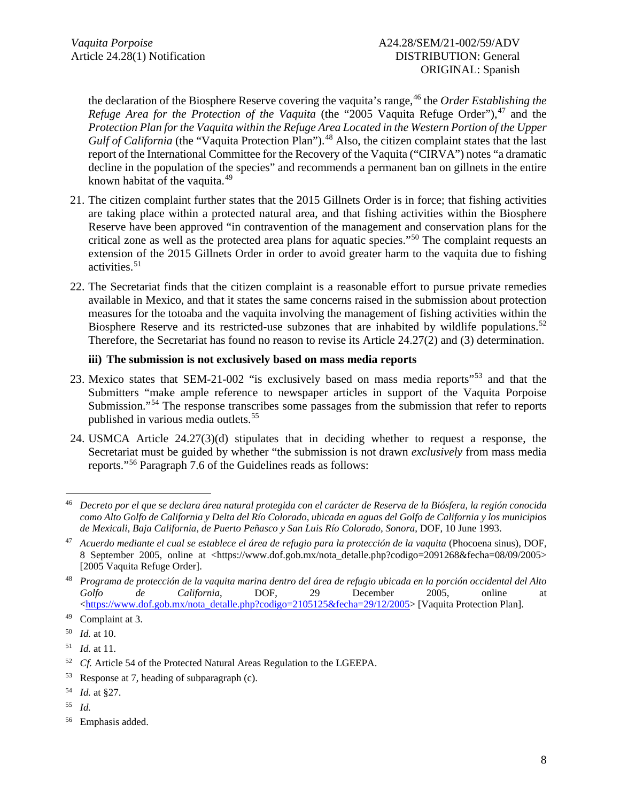the declaration of the Biosphere Reserve covering the vaquita's range, [46](#page-7-0) the *Order Establishing the Refuge Area for the Protection of the Vaquita* (the "2005 Vaquita Refuge Order"), [47](#page-7-1) and the *Protection Plan for the Vaquita within the Refuge Area Located in the Western Portion of the Upper*  Gulf of California (the "Vaquita Protection Plan").<sup>[48](#page-7-2)</sup> Also, the citizen complaint states that the last report of the International Committee for the Recovery of the Vaquita ("CIRVA") notes "a dramatic decline in the population of the species" and recommends a permanent ban on gillnets in the entire known habitat of the vaquita.<sup>[49](#page-7-3)</sup>

- 21. The citizen complaint further states that the 2015 Gillnets Order is in force; that fishing activities are taking place within a protected natural area, and that fishing activities within the Biosphere Reserve have been approved "in contravention of the management and conservation plans for the critical zone as well as the protected area plans for aquatic species."[50](#page-7-4) The complaint requests an extension of the 2015 Gillnets Order in order to avoid greater harm to the vaquita due to fishing activities. [51](#page-7-5)
- 22. The Secretariat finds that the citizen complaint is a reasonable effort to pursue private remedies available in Mexico, and that it states the same concerns raised in the submission about protection measures for the totoaba and the vaquita involving the management of fishing activities within the Biosphere Reserve and its restricted-use subzones that are inhabited by wildlife populations.<sup>[52](#page-7-6)</sup> Therefore, the Secretariat has found no reason to revise its Article 24.27(2) and (3) determination.

### **iii) The submission is not exclusively based on mass media reports**

- 23. Mexico states that SEM-21-002 "is exclusively based on mass media reports"<sup>[53](#page-7-7)</sup> and that the Submitters "make ample reference to newspaper articles in support of the Vaquita Porpoise Submission."<sup>[54](#page-7-8)</sup> The response transcribes some passages from the submission that refer to reports published in various media outlets. [55](#page-7-9)
- 24. USMCA Article 24.27(3)(d) stipulates that in deciding whether to request a response, the Secretariat must be guided by whether "the submission is not drawn *exclusively* from mass media reports."[56](#page-7-10) Paragraph 7.6 of the Guidelines reads as follows:

<span id="page-7-0"></span><sup>46</sup> *Decreto por el que se declara área natural protegida con el carácter de Reserva de la Biósfera, la región conocida como Alto Golfo de California y Delta del Río Colorado, ubicada en aguas del Golfo de California y los municipios de Mexicali, Baja California, de Puerto Peñasco y San Luis Río Colorado, Sonora*, DOF, 10 June 1993.

<span id="page-7-1"></span><sup>&</sup>lt;sup>47</sup> Acuerdo mediante el cual se establece el área de refugio para la protección de la vaquita (Phocoena sinus), DOF, 8 September 2005, online at <https://www.dof.gob.mx/nota\_detalle.php?codigo=2091268&fecha=08/09/2005> [2005 Vaquita Refuge Order].

<span id="page-7-2"></span><sup>48</sup> *Programa de protección de la vaquita marina dentro del área de refugio ubicada en la porción occidental del Alto Golfo de California*, DOF, 29 December 2005, online at [<https://www.dof.gob.mx/nota\\_detalle.php?codigo=2105125&fecha=29/12/2005>](https://www.dof.gob.mx/nota_detalle.php?codigo=2105125&fecha=29/12/2005) [Vaquita Protection Plan].

<span id="page-7-3"></span><sup>49</sup> Complaint at 3.

<span id="page-7-4"></span><sup>50</sup> *Id.* at 10.

<span id="page-7-5"></span><sup>51</sup> *Id.* at 11.

<span id="page-7-6"></span><sup>&</sup>lt;sup>52</sup> *Cf.* Article 54 of the Protected Natural Areas Regulation to the LGEEPA.

<span id="page-7-7"></span><sup>53</sup> Response at 7, heading of subparagraph (c).

<span id="page-7-8"></span><sup>54</sup> *Id.* at §27.

<span id="page-7-9"></span><sup>55</sup> *Id.*

<span id="page-7-10"></span><sup>56</sup> Emphasis added.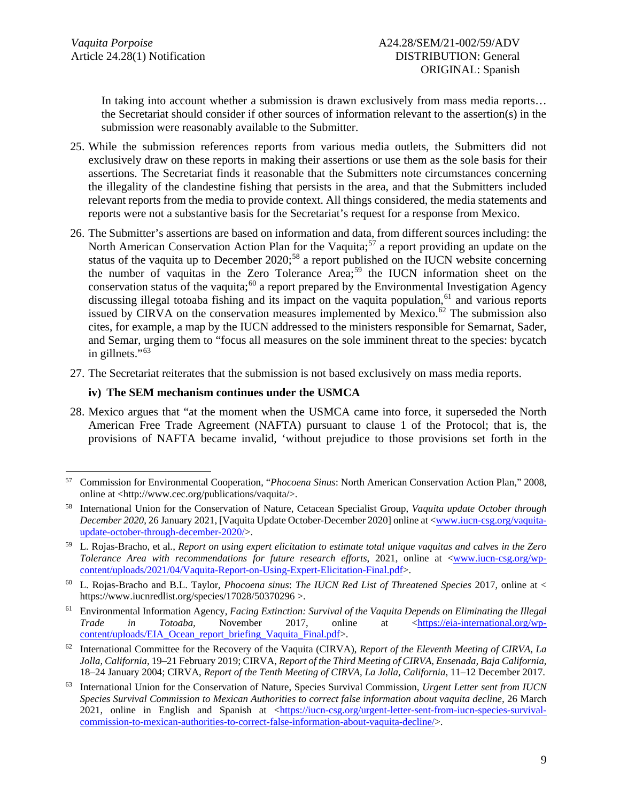In taking into account whether a submission is drawn exclusively from mass media reports... the Secretariat should consider if other sources of information relevant to the assertion(s) in the submission were reasonably available to the Submitter.

- 25. While the submission references reports from various media outlets, the Submitters did not exclusively draw on these reports in making their assertions or use them as the sole basis for their assertions. The Secretariat finds it reasonable that the Submitters note circumstances concerning the illegality of the clandestine fishing that persists in the area, and that the Submitters included relevant reports from the media to provide context. All things considered, the media statements and reports were not a substantive basis for the Secretariat's request for a response from Mexico.
- 26. The Submitter's assertions are based on information and data, from different sources including: the North American Conservation Action Plan for the Vaquita;<sup>[57](#page-8-0)</sup> a report providing an update on the status of the vaquita up to December  $2020$ ;<sup>[58](#page-8-1)</sup> a report published on the IUCN website concerning the number of vaquitas in the Zero Tolerance Area; [59](#page-8-2) the IUCN information sheet on the conservation status of the vaquita;<sup>[60](#page-8-3)</sup> a report prepared by the Environmental Investigation Agency discussing illegal totoaba fishing and its impact on the vaquita population,<sup>[61](#page-8-4)</sup> and various reports issued by CIRVA on the conservation measures implemented by Mexico.<sup>[62](#page-8-5)</sup> The submission also cites, for example, a map by the IUCN addressed to the ministers responsible for Semarnat, Sader, and Semar, urging them to "focus all measures on the sole imminent threat to the species: bycatch in gillnets."<sup>[63](#page-8-6)</sup>
- 27. The Secretariat reiterates that the submission is not based exclusively on mass media reports.

### **iv) The SEM mechanism continues under the USMCA**

28. Mexico argues that "at the moment when the USMCA came into force, it superseded the North American Free Trade Agreement (NAFTA) pursuant to clause 1 of the Protocol; that is, the provisions of NAFTA became invalid, 'without prejudice to those provisions set forth in the

<span id="page-8-0"></span><sup>57</sup> Commission for Environmental Cooperation, "*Phocoena Sinus*: North American Conservation Action Plan," 2008, online at <http://www.cec.org/publications/vaquita/>.

<span id="page-8-1"></span><sup>58</sup> International Union for the Conservation of Nature, Cetacean Specialist Group, *Vaquita update October through December 2020*, 26 January 2021, [Vaquita Update October-December 2020] online at [<www.iucn-csg.org/vaquita](http://www.iucn-csg.org/vaquita-update-october-through-december-2020)[update-october-through-december-2020/>](http://www.iucn-csg.org/vaquita-update-october-through-december-2020).

<span id="page-8-2"></span><sup>59</sup> L. Rojas-Bracho, et al., *Report on using expert elicitation to estimate total unique vaquitas and calves in the Zero Tolerance Area with recommendations for future research efforts*, 2021, online at [<www.iucn-csg.org/wp](http://www.iucn-csg.org/wp-content/uploads/2021/04/Vaquita-Report-on-Using-Expert-Elicitation-Final.pdf)[content/uploads/2021/04/Vaquita-Report-on-Using-Expert-Elicitation-Final.pdf>](http://www.iucn-csg.org/wp-content/uploads/2021/04/Vaquita-Report-on-Using-Expert-Elicitation-Final.pdf).

<span id="page-8-3"></span><sup>60</sup> L. Rojas-Bracho and B.L. Taylor, *Phocoena sinus*: *The IUCN Red List of Threatened Species* 2017, online at < https://www.iucnredlist.org/species/17028/50370296 >.

<span id="page-8-4"></span><sup>61</sup> Environmental Information Agency, *Facing Extinction: Survival of the Vaquita Depends on Eliminating the Illegal Trade in Totoaba,* November 2017, online at [<https://eia-international.org/wp](https://eia-international.org/wp-content/uploads/EIA_Ocean_report_briefing_Vaquita_Final.pdf)[content/uploads/EIA\\_Ocean\\_report\\_briefing\\_Vaquita\\_Final.pdf>](https://eia-international.org/wp-content/uploads/EIA_Ocean_report_briefing_Vaquita_Final.pdf).

<span id="page-8-5"></span><sup>62</sup> International Committee for the Recovery of the Vaquita (CIRVA), *Report of the Eleventh Meeting of CIRVA, La Jolla, California*, 19–21 February 2019; CIRVA, *Report of the Third Meeting of CIRVA, Ensenada, Baja California*, 18–24 January 2004; CIRVA, *Report of the Tenth Meeting of CIRVA, La Jolla, California*, 11–12 December 2017.

<span id="page-8-6"></span><sup>63</sup> International Union for the Conservation of Nature, Species Survival Commission, *Urgent Letter sent from IUCN Species Survival Commission to Mexican Authorities to correct false information about vaquita decline,* 26 March 2021, online in English and Spanish at [<https://iucn-csg.org/urgent-letter-sent-from-iucn-species-survival](https://iucn-csg.org/urgent-letter-sent-from-iucn-species-survival-commission-to-mexican-authorities-to-correct-false-information-about-vaquita-decline/)[commission-to-mexican-authorities-to-correct-false-information-about-vaquita-decline/>](https://iucn-csg.org/urgent-letter-sent-from-iucn-species-survival-commission-to-mexican-authorities-to-correct-false-information-about-vaquita-decline/).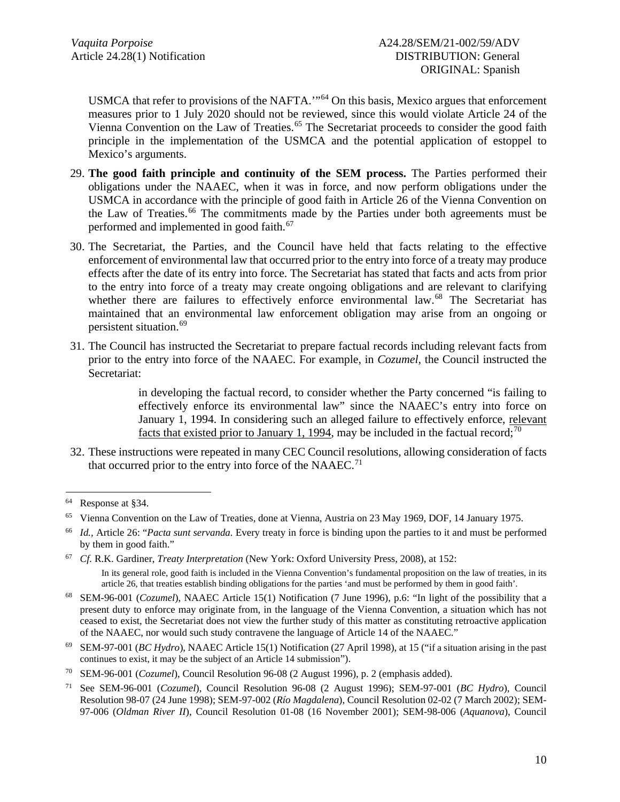USMCA that refer to provisions of the NAFTA.'"[64](#page-9-0) On this basis, Mexico argues that enforcement measures prior to 1 July 2020 should not be reviewed, since this would violate Article 24 of the Vienna Convention on the Law of Treaties.<sup>[65](#page-9-1)</sup> The Secretariat proceeds to consider the good faith principle in the implementation of the USMCA and the potential application of estoppel to Mexico's arguments.

- 29. **The good faith principle and continuity of the SEM process.** The Parties performed their obligations under the NAAEC, when it was in force, and now perform obligations under the USMCA in accordance with the principle of good faith in Article 26 of the Vienna Convention on the Law of Treaties. [66](#page-9-2) The commitments made by the Parties under both agreements must be performed and implemented in good faith.<sup>[67](#page-9-3)</sup>
- 30. The Secretariat, the Parties, and the Council have held that facts relating to the effective enforcement of environmental law that occurred prior to the entry into force of a treaty may produce effects after the date of its entry into force. The Secretariat has stated that facts and acts from prior to the entry into force of a treaty may create ongoing obligations and are relevant to clarifying whether there are failures to effectively enforce environmental law.<sup>[68](#page-9-4)</sup> The Secretariat has maintained that an environmental law enforcement obligation may arise from an ongoing or persistent situation.[69](#page-9-5)
- 31. The Council has instructed the Secretariat to prepare factual records including relevant facts from prior to the entry into force of the NAAEC. For example, in *Cozumel,* the Council instructed the Secretariat:

in developing the factual record, to consider whether the Party concerned "is failing to effectively enforce its environmental law" since the NAAEC's entry into force on January 1, 1994. In considering such an alleged failure to effectively enforce, relevant facts that existed prior to January 1, 1994, may be included in the factual record;<sup>[70](#page-9-6)</sup>

32. These instructions were repeated in many CEC Council resolutions, allowing consideration of facts that occurred prior to the entry into force of the NAAEC.<sup>[71](#page-9-7)</sup>

<span id="page-9-0"></span><sup>64</sup> Response at §34.

<span id="page-9-1"></span><sup>65</sup> Vienna Convention on the Law of Treaties, done at Vienna, Austria on 23 May 1969, DOF, 14 January 1975.

<span id="page-9-2"></span><sup>66</sup> *Id.,* Article 26: "*Pacta sunt servanda.* Every treaty in force is binding upon the parties to it and must be performed by them in good faith."

<span id="page-9-3"></span><sup>67</sup> *Cf.* R.K. Gardiner, *Treaty Interpretation* (New York: Oxford University Press, 2008), at 152: In its general role, good faith is included in the Vienna Convention's fundamental proposition on the law of treaties, in its article 26, that treaties establish binding obligations for the parties 'and must be performed by them in good faith'.

<span id="page-9-4"></span><sup>68</sup> SEM-96-001 (*Cozumel*), NAAEC Article 15(1) Notification (7 June 1996), p.6: "In light of the possibility that a present duty to enforce may originate from, in the language of the Vienna Convention, a situation which has not ceased to exist, the Secretariat does not view the further study of this matter as constituting retroactive application of the NAAEC, nor would such study contravene the language of Article 14 of the NAAEC."

<span id="page-9-5"></span><sup>69</sup> SEM-97-001 (*BC Hydro*), NAAEC Article 15(1) Notification (27 April 1998), at 15 ("if a situation arising in the past continues to exist, it may be the subject of an Article 14 submission").

<span id="page-9-6"></span><sup>70</sup> SEM-96-001 (*Cozumel*), Council Resolution 96-08 (2 August 1996), p. 2 (emphasis added).

<span id="page-9-7"></span><sup>71</sup> See SEM-96-001 (*Cozumel*), Council Resolution 96-08 (2 August 1996); SEM-97-001 (*BC Hydro*), Council Resolution 98-07 (24 June 1998); SEM-97-002 (*Río Magdalena*), Council Resolution 02-02 (7 March 2002); SEM-97-006 (*Oldman River II*), Council Resolution 01-08 (16 November 2001); SEM-98-006 (*Aquanova*), Council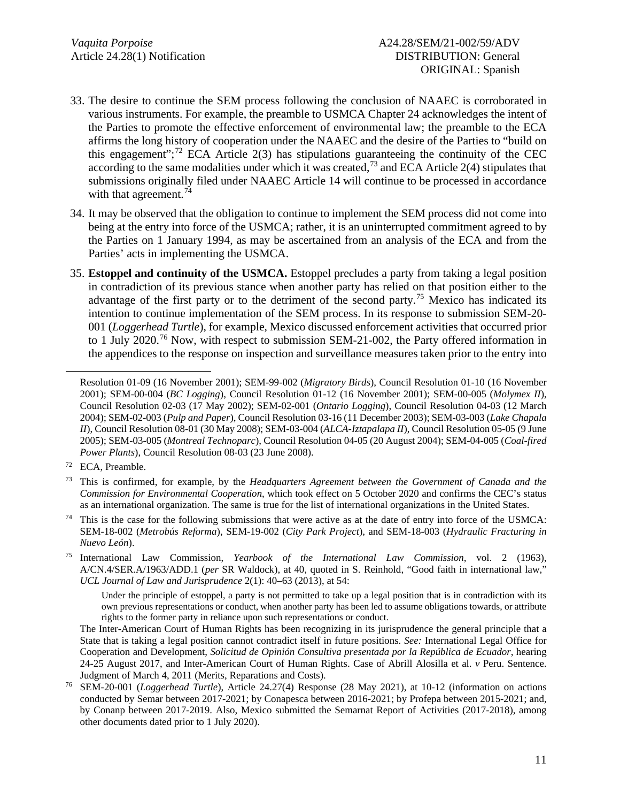- 33. The desire to continue the SEM process following the conclusion of NAAEC is corroborated in various instruments. For example, the preamble to USMCA Chapter 24 acknowledges the intent of the Parties to promote the effective enforcement of environmental law; the preamble to the ECA affirms the long history of cooperation under the NAAEC and the desire of the Parties to "build on this engagement";<sup>[72](#page-10-0)</sup> ECA Article 2(3) has stipulations guaranteeing the continuity of the CEC according to the same modalities under which it was created,<sup>[73](#page-10-1)</sup> and ECA Article 2(4) stipulates that submissions originally filed under NAAEC Article 14 will continue to be processed in accordance with that agreement.<sup>[74](#page-10-2)</sup>
- 34. It may be observed that the obligation to continue to implement the SEM process did not come into being at the entry into force of the USMCA; rather, it is an uninterrupted commitment agreed to by the Parties on 1 January 1994, as may be ascertained from an analysis of the ECA and from the Parties' acts in implementing the USMCA.
- 35. **Estoppel and continuity of the USMCA.** Estoppel precludes a party from taking a legal position in contradiction of its previous stance when another party has relied on that position either to the advantage of the first party or to the detriment of the second party.<sup>[75](#page-10-3)</sup> Mexico has indicated its intention to continue implementation of the SEM process. In its response to submission SEM-20- 001 (*Loggerhead Turtle*), for example, Mexico discussed enforcement activities that occurred prior to 1 July 2020.<sup>[76](#page-10-4)</sup> Now, with respect to submission SEM-21-002, the Party offered information in the appendices to the response on inspection and surveillance measures taken prior to the entry into

Resolution 01-09 (16 November 2001); SEM-99-002 (*Migratory Birds*), Council Resolution 01-10 (16 November 2001); SEM-00-004 (*BC Logging*), Council Resolution 01-12 (16 November 2001); SEM-00-005 (*Molymex II*), Council Resolution 02-03 (17 May 2002); SEM-02-001 (*Ontario Logging*), Council Resolution 04-03 (12 March 2004); SEM-02-003 (*Pulp and Paper*), Council Resolution 03-16 (11 December 2003); SEM-03-003 (*Lake Chapala II*), Council Resolution 08-01 (30 May 2008); SEM-03-004 (*ALCA-Iztapalapa II*), Council Resolution 05-05 (9 June 2005); SEM-03-005 (*Montreal Technoparc*), Council Resolution 04-05 (20 August 2004); SEM-04-005 (*Coal-fired Power Plants*), Council Resolution 08-03 (23 June 2008).

<span id="page-10-0"></span><sup>72</sup> ECA, Preamble.

<span id="page-10-1"></span><sup>73</sup> This is confirmed, for example, by the *Headquarters Agreement between the Government of Canada and the Commission for Environmental Cooperation*, which took effect on 5 October 2020 and confirms the CEC's status as an international organization. The same is true for the list of international organizations in the United States.

<span id="page-10-2"></span>This is the case for the following submissions that were active as at the date of entry into force of the USMCA: SEM-18-002 (*Metrobús Reforma*), SEM-19-002 (*City Park Project*), and SEM-18-003 (*Hydraulic Fracturing in Nuevo León*).

<span id="page-10-3"></span><sup>75</sup> International Law Commission, *Yearbook of the International Law Commission,* vol. 2 (1963), A/CN.4/SER.A/1963/ADD.1 (*per* SR Waldock), at 40, quoted in S. Reinhold, "Good faith in international law," *UCL Journal of Law and Jurisprudence* 2(1): 40–63 (2013), at 54:

Under the principle of estoppel, a party is not permitted to take up a legal position that is in contradiction with its own previous representations or conduct, when another party has been led to assume obligations towards, or attribute rights to the former party in reliance upon such representations or conduct.

The Inter-American Court of Human Rights has been recognizing in its jurisprudence the general principle that a State that is taking a legal position cannot contradict itself in future positions. *See:* International Legal Office for Cooperation and Development, *Solicitud de Opinión Consultiva presentada por la República de Ecuador*, hearing 24-25 August 2017, and Inter-American Court of Human Rights. Case of Abrill Alosilla et al. *v* Peru. Sentence. Judgment of March 4, 2011 (Merits, Reparations and Costs).

<span id="page-10-4"></span><sup>76</sup> SEM-20-001 (*Loggerhead Turtle*), Article 24.27(4) Response (28 May 2021), at 10-12 (information on actions conducted by Semar between 2017-2021; by Conapesca between 2016-2021; by Profepa between 2015-2021; and, by Conanp between 2017-2019. Also, Mexico submitted the Semarnat Report of Activities (2017-2018), among other documents dated prior to 1 July 2020).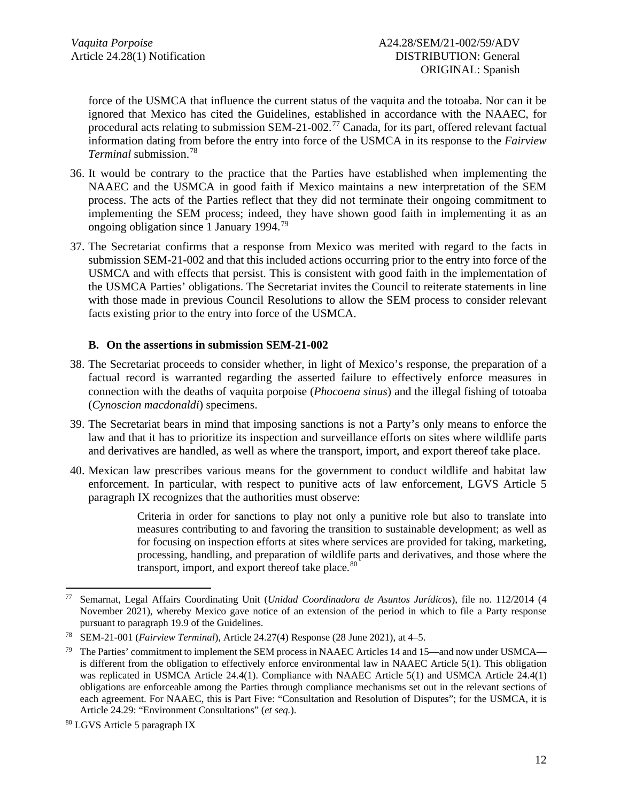force of the USMCA that influence the current status of the vaquita and the totoaba. Nor can it be ignored that Mexico has cited the Guidelines, established in accordance with the NAAEC, for procedural acts relating to submission SEM-21-002.<sup>[77](#page-11-0)</sup> Canada, for its part, offered relevant factual information dating from before the entry into force of the USMCA in its response to the *Fairview Terminal* submission. [78](#page-11-1)

- 36. It would be contrary to the practice that the Parties have established when implementing the NAAEC and the USMCA in good faith if Mexico maintains a new interpretation of the SEM process. The acts of the Parties reflect that they did not terminate their ongoing commitment to implementing the SEM process; indeed, they have shown good faith in implementing it as an ongoing obligation since 1 January 1994.<sup>[79](#page-11-2)</sup>
- 37. The Secretariat confirms that a response from Mexico was merited with regard to the facts in submission SEM-21-002 and that this included actions occurring prior to the entry into force of the USMCA and with effects that persist. This is consistent with good faith in the implementation of the USMCA Parties' obligations. The Secretariat invites the Council to reiterate statements in line with those made in previous Council Resolutions to allow the SEM process to consider relevant facts existing prior to the entry into force of the USMCA.

### **B. On the assertions in submission SEM-21-002**

- 38. The Secretariat proceeds to consider whether, in light of Mexico's response, the preparation of a factual record is warranted regarding the asserted failure to effectively enforce measures in connection with the deaths of vaquita porpoise (*Phocoena sinus*) and the illegal fishing of totoaba (*Cynoscion macdonaldi*) specimens.
- 39. The Secretariat bears in mind that imposing sanctions is not a Party's only means to enforce the law and that it has to prioritize its inspection and surveillance efforts on sites where wildlife parts and derivatives are handled, as well as where the transport, import, and export thereof take place.
- 40. Mexican law prescribes various means for the government to conduct wildlife and habitat law enforcement. In particular, with respect to punitive acts of law enforcement, LGVS Article 5 paragraph IX recognizes that the authorities must observe:

Criteria in order for sanctions to play not only a punitive role but also to translate into measures contributing to and favoring the transition to sustainable development; as well as for focusing on inspection efforts at sites where services are provided for taking, marketing, processing, handling, and preparation of wildlife parts and derivatives, and those where the transport, import, and export thereof take place.<sup>[80](#page-11-3)</sup>

<span id="page-11-0"></span><sup>77</sup> Semarnat, Legal Affairs Coordinating Unit (*Unidad Coordinadora de Asuntos Jurídicos*), file no. 112/2014 (4 November 2021), whereby Mexico gave notice of an extension of the period in which to file a Party response pursuant to paragraph 19.9 of the Guidelines.

<span id="page-11-1"></span><sup>78</sup> SEM-21-001 (*Fairview Terminal*), Article 24.27(4) Response (28 June 2021), at 4–5.

<span id="page-11-2"></span><sup>&</sup>lt;sup>79</sup> The Parties' commitment to implement the SEM process in NAAEC Articles 14 and 15—and now under USMCA is different from the obligation to effectively enforce environmental law in NAAEC Article 5(1). This obligation was replicated in USMCA Article 24.4(1). Compliance with NAAEC Article 5(1) and USMCA Article 24.4(1) obligations are enforceable among the Parties through compliance mechanisms set out in the relevant sections of each agreement. For NAAEC, this is Part Five: "Consultation and Resolution of Disputes"; for the USMCA, it is Article 24.29: "Environment Consultations" (*et seq.*).

<span id="page-11-3"></span><sup>80</sup> LGVS Article 5 paragraph IX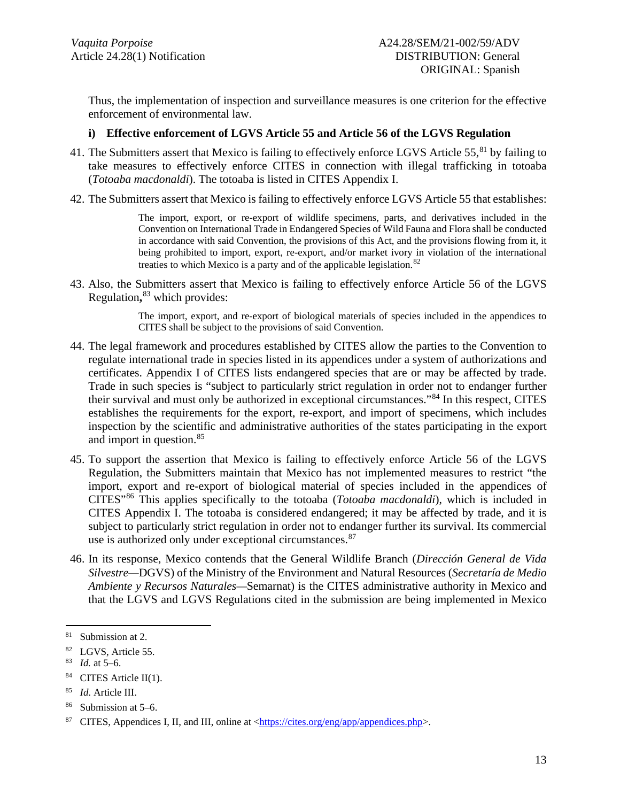Thus, the implementation of inspection and surveillance measures is one criterion for the effective enforcement of environmental law.

### **i) Effective enforcement of LGVS Article 55 and Article 56 of the LGVS Regulation**

- 41. The Submitters assert that Mexico is failing to effectively enforce LGVS Article 55,<sup>[81](#page-12-0)</sup> by failing to take measures to effectively enforce CITES in connection with illegal trafficking in totoaba (*Totoaba macdonaldi*). The totoaba is listed in CITES Appendix I.
- 42. The Submitters assert that Mexico is failing to effectively enforce LGVS Article 55 that establishes:

The import, export, or re-export of wildlife specimens, parts, and derivatives included in the Convention on International Trade in Endangered Species of Wild Fauna and Flora shall be conducted in accordance with said Convention, the provisions of this Act, and the provisions flowing from it, it being prohibited to import, export, re-export, and/or market ivory in violation of the international treaties to which Mexico is a party and of the applicable legislation.<sup>[82](#page-12-1)</sup>

43. Also, the Submitters assert that Mexico is failing to effectively enforce Article 56 of the LGVS Regulation**,** [83](#page-12-2) which provides:

> The import, export, and re-export of biological materials of species included in the appendices to CITES shall be subject to the provisions of said Convention.

- 44. The legal framework and procedures established by CITES allow the parties to the Convention to regulate international trade in species listed in its appendices under a system of authorizations and certificates. Appendix I of CITES lists endangered species that are or may be affected by trade. Trade in such species is "subject to particularly strict regulation in order not to endanger further their survival and must only be authorized in exceptional circumstances."[84](#page-12-3) In this respect, CITES establishes the requirements for the export, re-export, and import of specimens, which includes inspection by the scientific and administrative authorities of the states participating in the export and import in question. [85](#page-12-4)
- 45. To support the assertion that Mexico is failing to effectively enforce Article 56 of the LGVS Regulation, the Submitters maintain that Mexico has not implemented measures to restrict "the import, export and re-export of biological material of species included in the appendices of CITES"[86](#page-12-5) This applies specifically to the totoaba (*Totoaba macdonaldi*), which is included in CITES Appendix I. The totoaba is considered endangered; it may be affected by trade, and it is subject to particularly strict regulation in order not to endanger further its survival. Its commercial use is authorized only under exceptional circumstances. <sup>[87](#page-12-6)</sup>
- 46. In its response, Mexico contends that the General Wildlife Branch (*Dirección General de Vida Silvestre—*DGVS) of the Ministry of the Environment and Natural Resources (*Secretaría de Medio Ambiente y Recursos Naturales—*Semarnat) is the CITES administrative authority in Mexico and that the LGVS and LGVS Regulations cited in the submission are being implemented in Mexico

<span id="page-12-0"></span><sup>81</sup> Submission at 2.

<span id="page-12-1"></span> $^{82}$  LGVS, Article 55.<br> $^{83}$  *Id at* 5–6

<span id="page-12-2"></span>*Id.* at 5–6.

<span id="page-12-3"></span><sup>84</sup> CITES Article II(1).

<span id="page-12-4"></span><sup>85</sup> *Id*. Article III.

<span id="page-12-5"></span><sup>86</sup> Submission at 5–6.

<span id="page-12-6"></span><sup>&</sup>lt;sup>87</sup> CITES, Appendices I, II, and III, online at  $\langle \frac{https://cites.org/eng/app/appendices.php>}{https://cites.org/eng/app/appendices.php>}.$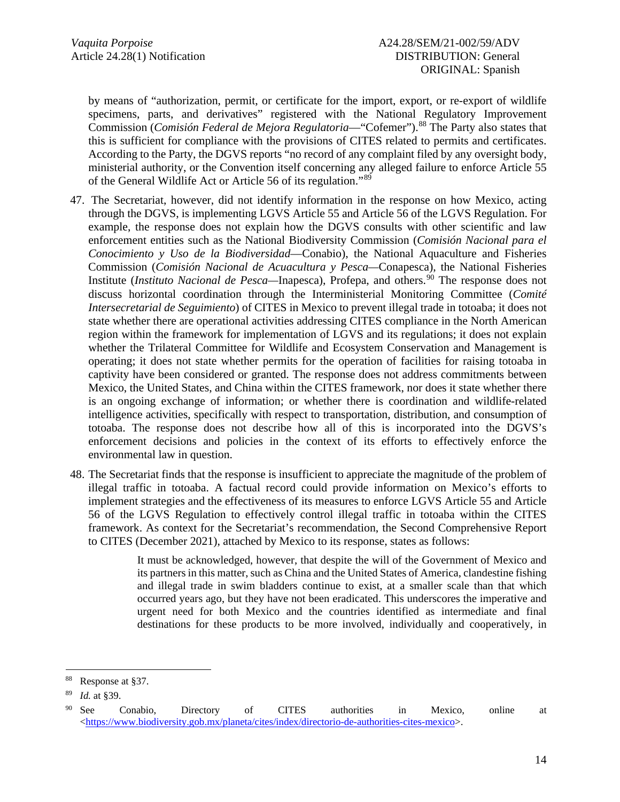by means of "authorization, permit, or certificate for the import, export, or re-export of wildlife specimens, parts, and derivatives" registered with the National Regulatory Improvement Commission (*Comisión Federal de Mejora Regulatoria*—"Cofemer"). [88](#page-13-0) The Party also states that this is sufficient for compliance with the provisions of CITES related to permits and certificates. According to the Party, the DGVS reports "no record of any complaint filed by any oversight body, ministerial authority, or the Convention itself concerning any alleged failure to enforce Article 55 of the General Wildlife Act or Article 56 of its regulation."[89](#page-13-1)

- 47. The Secretariat, however, did not identify information in the response on how Mexico, acting through the DGVS, is implementing LGVS Article 55 and Article 56 of the LGVS Regulation. For example, the response does not explain how the DGVS consults with other scientific and law enforcement entities such as the National Biodiversity Commission (*Comisión Nacional para el Conocimiento y Uso de la Biodiversidad*—Conabio), the National Aquaculture and Fisheries Commission (*Comisión Nacional de Acuacultura y Pesca—*Conapesca), the National Fisheries Institute (*Instituto Nacional de Pesca—*Inapesca), Profepa, and others. [90](#page-13-2) The response does not discuss horizontal coordination through the Interministerial Monitoring Committee (*Comité Intersecretarial de Seguimiento*) of CITES in Mexico to prevent illegal trade in totoaba; it does not state whether there are operational activities addressing CITES compliance in the North American region within the framework for implementation of LGVS and its regulations; it does not explain whether the Trilateral Committee for Wildlife and Ecosystem Conservation and Management is operating; it does not state whether permits for the operation of facilities for raising totoaba in captivity have been considered or granted. The response does not address commitments between Mexico, the United States, and China within the CITES framework, nor does it state whether there is an ongoing exchange of information; or whether there is coordination and wildlife-related intelligence activities, specifically with respect to transportation, distribution, and consumption of totoaba. The response does not describe how all of this is incorporated into the DGVS's enforcement decisions and policies in the context of its efforts to effectively enforce the environmental law in question.
- 48. The Secretariat finds that the response is insufficient to appreciate the magnitude of the problem of illegal traffic in totoaba. A factual record could provide information on Mexico's efforts to implement strategies and the effectiveness of its measures to enforce LGVS Article 55 and Article 56 of the LGVS Regulation to effectively control illegal traffic in totoaba within the CITES framework. As context for the Secretariat's recommendation, the Second Comprehensive Report to CITES (December 2021), attached by Mexico to its response, states as follows:

It must be acknowledged, however, that despite the will of the Government of Mexico and its partners in this matter, such as China and the United States of America, clandestine fishing and illegal trade in swim bladders continue to exist, at a smaller scale than that which occurred years ago, but they have not been eradicated. This underscores the imperative and urgent need for both Mexico and the countries identified as intermediate and final destinations for these products to be more involved, individually and cooperatively, in

<span id="page-13-0"></span>Response at §37.

<span id="page-13-1"></span><sup>89</sup> *Id.* at §39.

<span id="page-13-2"></span><sup>&</sup>lt;sup>90</sup> See Conabio, Directory of CITES authorities in Mexico, online at  $\langle$ https://www.biodiversity.gob.mx/planeta/cites/index/directorio-de-authorities-cites-mexico>.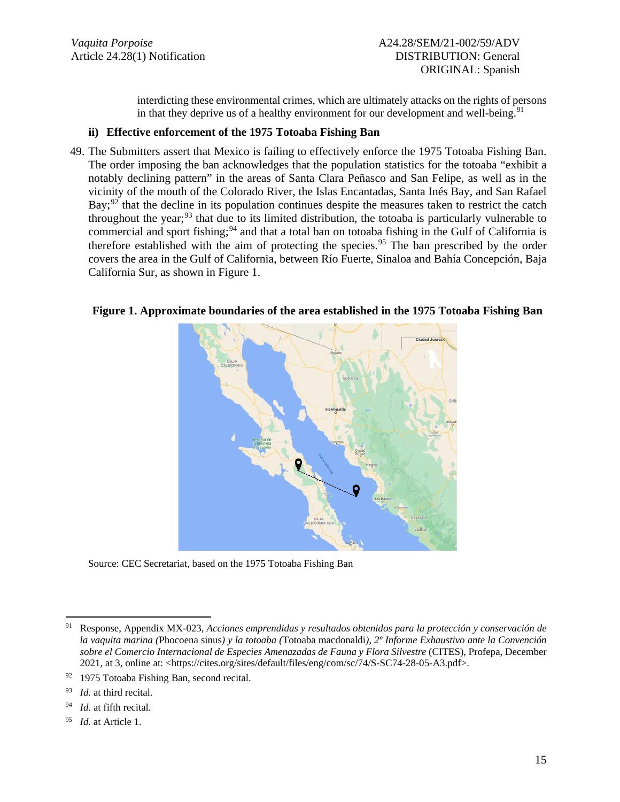interdicting these environmental crimes, which are ultimately attacks on the rights of persons in that they deprive us of a healthy environment for our development and well-being.<sup>[91](#page-14-0)</sup>

#### **ii) Effective enforcement of the 1975 Totoaba Fishing Ban**

49. The Submitters assert that Mexico is failing to effectively enforce the 1975 Totoaba Fishing Ban. The order imposing the ban acknowledges that the population statistics for the totoaba "exhibit a notably declining pattern" in the areas of Santa Clara Peñasco and San Felipe, as well as in the vicinity of the mouth of the Colorado River, the Islas Encantadas, Santa Inés Bay, and San Rafael Bay;<sup>[92](#page-14-1)</sup> that the decline in its population continues despite the measures taken to restrict the catch throughout the year;<sup>[93](#page-14-2)</sup> that due to its limited distribution, the totoaba is particularly vulnerable to commercial and sport fishing;<sup>[94](#page-14-3)</sup> and that a total ban on totoaba fishing in the Gulf of California is therefore established with the aim of protecting the species.<sup>[95](#page-14-4)</sup> The ban prescribed by the order covers the area in the Gulf of California, between Río Fuerte, Sinaloa and Bahía Concepción, Baja California Sur, as shown in Figure 1.

### **Figure 1. Approximate boundaries of the area established in the 1975 Totoaba Fishing Ban**



Source: CEC Secretariat, based on the 1975 Totoaba Fishing Ban

<span id="page-14-3"></span><sup>94</sup> *Id.* at fifth recital.

<span id="page-14-0"></span><sup>91</sup> Response, Appendix MX-023, *Acciones emprendidas y resultados obtenidos para la protección y conservación de la vaquita marina (*Phocoena sinus*) y la totoaba (*Totoaba macdonaldi*)*, *2º Informe Exhaustivo ante la Convención sobre el Comercio Internacional de Especies Amenazadas de Fauna y Flora Silvestre* (CITES), Profepa, December 2021, at 3, online at: <https://cites.org/sites/default/files/eng/com/sc/74/S-SC74-28-05-A3.pdf>.

<span id="page-14-1"></span><sup>&</sup>lt;sup>92</sup> 1975 Totoaba Fishing Ban, second recital.

<span id="page-14-2"></span><sup>93</sup> *Id.* at third recital.

<span id="page-14-4"></span><sup>95</sup> *Id.* at Article 1.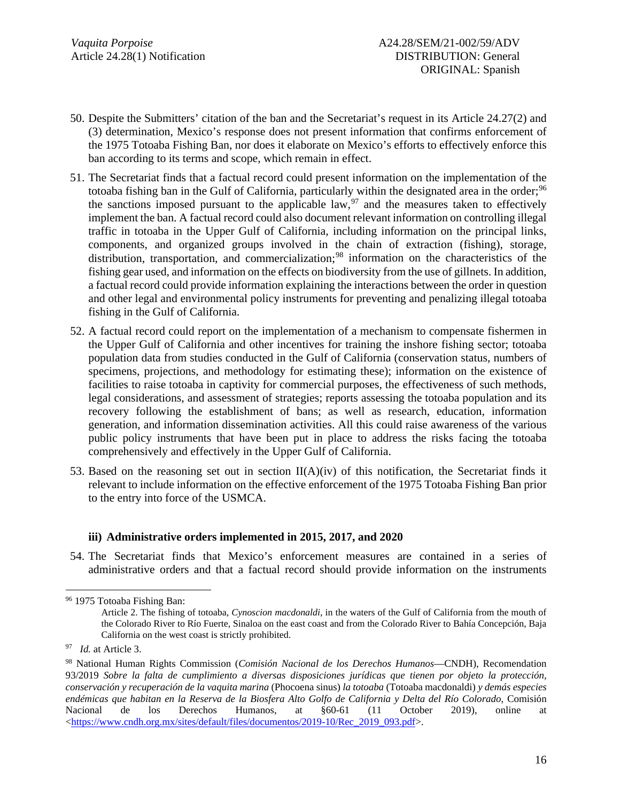- 50. Despite the Submitters' citation of the ban and the Secretariat's request in its Article 24.27(2) and (3) determination, Mexico's response does not present information that confirms enforcement of the 1975 Totoaba Fishing Ban, nor does it elaborate on Mexico's efforts to effectively enforce this ban according to its terms and scope, which remain in effect.
- 51. The Secretariat finds that a factual record could present information on the implementation of the totoaba fishing ban in the Gulf of California, particularly within the designated area in the order;<sup>[96](#page-15-0)</sup> the sanctions imposed pursuant to the applicable law,  $\frac{97}{2}$  $\frac{97}{2}$  $\frac{97}{2}$  and the measures taken to effectively implement the ban. A factual record could also document relevant information on controlling illegal traffic in totoaba in the Upper Gulf of California, including information on the principal links, components, and organized groups involved in the chain of extraction (fishing), storage, distribution, transportation, and commercialization;<sup>[98](#page-15-2)</sup> information on the characteristics of the fishing gear used, and information on the effects on biodiversity from the use of gillnets. In addition, a factual record could provide information explaining the interactions between the order in question and other legal and environmental policy instruments for preventing and penalizing illegal totoaba fishing in the Gulf of California.
- 52. A factual record could report on the implementation of a mechanism to compensate fishermen in the Upper Gulf of California and other incentives for training the inshore fishing sector; totoaba population data from studies conducted in the Gulf of California (conservation status, numbers of specimens, projections, and methodology for estimating these); information on the existence of facilities to raise totoaba in captivity for commercial purposes, the effectiveness of such methods, legal considerations, and assessment of strategies; reports assessing the totoaba population and its recovery following the establishment of bans; as well as research, education, information generation, and information dissemination activities. All this could raise awareness of the various public policy instruments that have been put in place to address the risks facing the totoaba comprehensively and effectively in the Upper Gulf of California.
- 53. Based on the reasoning set out in section  $II(A)(iv)$  of this notification, the Secretariat finds it relevant to include information on the effective enforcement of the 1975 Totoaba Fishing Ban prior to the entry into force of the USMCA.

### **iii) Administrative orders implemented in 2015, 2017, and 2020**

54. The Secretariat finds that Mexico's enforcement measures are contained in a series of administrative orders and that a factual record should provide information on the instruments

<span id="page-15-0"></span><sup>96</sup> 1975 Totoaba Fishing Ban: Article 2. The fishing of totoaba, *Cynoscion macdonaldi*, in the waters of the Gulf of California from the mouth of the Colorado River to Río Fuerte, Sinaloa on the east coast and from the Colorado River to Bahía Concepción, Baja California on the west coast is strictly prohibited.

<span id="page-15-1"></span><sup>97</sup> *Id.* at Article 3.

<span id="page-15-2"></span><sup>98</sup> National Human Rights Commission (*Comisión Nacional de los Derechos Humanos*—CNDH), Recomendation 93/2019 *Sobre la falta de cumplimiento a diversas disposiciones jurídicas que tienen por objeto la protección, conservación y recuperación de la vaquita marina* (Phocoena sinus) *la totoaba* (Totoaba macdonaldi) *y demás especies endémicas que habitan en la Reserva de la Biosfera Alto Golfo de California y Delta del Río Colorado*, Comisión Nacional de los Derechos Humanos, at §60-61 (11 October 2019), online at  $\langle \frac{\text{https://www.cndh.org.mx/sites/default/files/documenttos/2019-10/Rec}}{2019.093.pdf}}$ .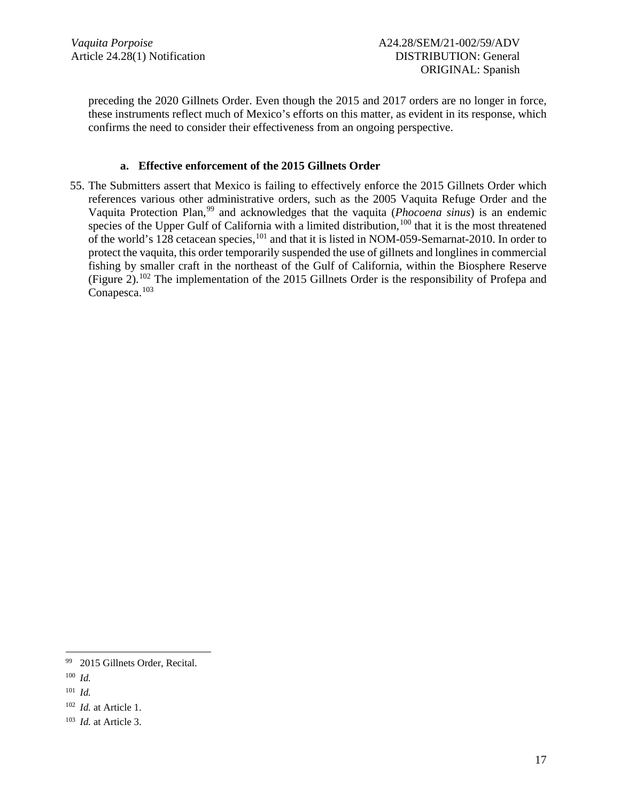preceding the 2020 Gillnets Order. Even though the 2015 and 2017 orders are no longer in force, these instruments reflect much of Mexico's efforts on this matter, as evident in its response, which confirms the need to consider their effectiveness from an ongoing perspective.

### **a. Effective enforcement of the 2015 Gillnets Order**

55. The Submitters assert that Mexico is failing to effectively enforce the 2015 Gillnets Order which references various other administrative orders, such as the 2005 Vaquita Refuge Order and the Vaquita Protection Plan, [99](#page-16-0) and acknowledges that the vaquita (*Phocoena sinus*) is an endemic species of the Upper Gulf of California with a limited distribution,  $100$  that it is the most threatened of the world's 128 cetacean species, <sup>[101](#page-16-2)</sup> and that it is listed in NOM-059-Semarnat-2010. In order to protect the vaquita, this order temporarily suspended the use of gillnets and longlines in commercial fishing by smaller craft in the northeast of the Gulf of California, within the Biosphere Reserve (Figure 2).<sup>[102](#page-16-3)</sup> The implementation of the 2015 Gillnets Order is the responsibility of Profepa and Conapesca. [103](#page-16-4)

<span id="page-16-0"></span><sup>99</sup> 2015 Gillnets Order, Recital.

<span id="page-16-1"></span><sup>100</sup> *Id.*

<span id="page-16-2"></span><sup>101</sup> *Id.*

<span id="page-16-3"></span><sup>102</sup> *Id.* at Article 1.

<span id="page-16-4"></span><sup>103</sup> *Id.* at Article 3.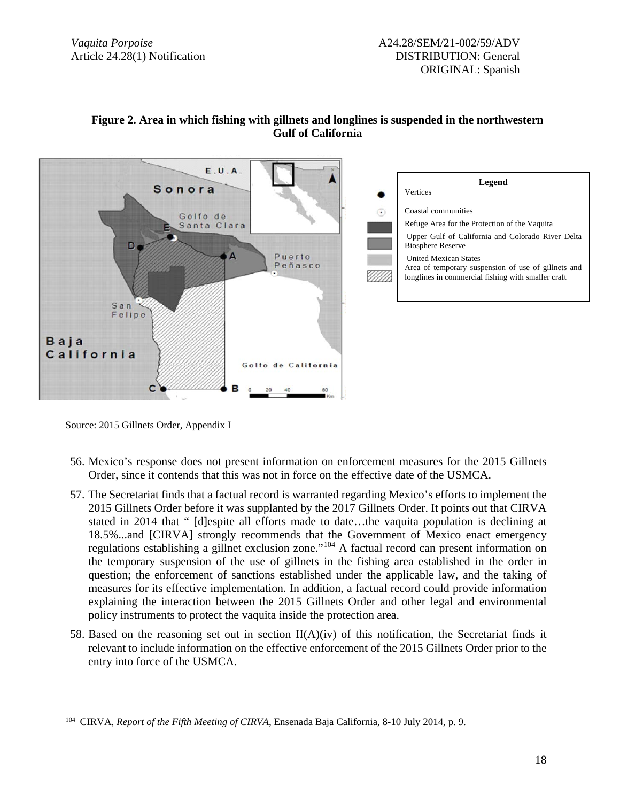

### **Figure 2. Area in which fishing with gillnets and longlines is suspended in the northwestern Gulf of California**

Source: 2015 Gillnets Order, Appendix I

- 56. Mexico's response does not present information on enforcement measures for the 2015 Gillnets Order, since it contends that this was not in force on the effective date of the USMCA.
- 57. The Secretariat finds that a factual record is warranted regarding Mexico's efforts to implement the 2015 Gillnets Order before it was supplanted by the 2017 Gillnets Order. It points out that CIRVA stated in 2014 that " [d]espite all efforts made to date…the vaquita population is declining at 18.5%...and [CIRVA] strongly recommends that the Government of Mexico enact emergency regulations establishing a gillnet exclusion zone."[104](#page-17-0) A factual record can present information on the temporary suspension of the use of gillnets in the fishing area established in the order in question; the enforcement of sanctions established under the applicable law, and the taking of measures for its effective implementation. In addition, a factual record could provide information explaining the interaction between the 2015 Gillnets Order and other legal and environmental policy instruments to protect the vaquita inside the protection area.
- 58. Based on the reasoning set out in section  $II(A)(iv)$  of this notification, the Secretariat finds it relevant to include information on the effective enforcement of the 2015 Gillnets Order prior to the entry into force of the USMCA.

<span id="page-17-0"></span><sup>104</sup> CIRVA, *Report of the Fifth Meeting of CIRVA*, Ensenada Baja California, 8-10 July 2014, p. 9.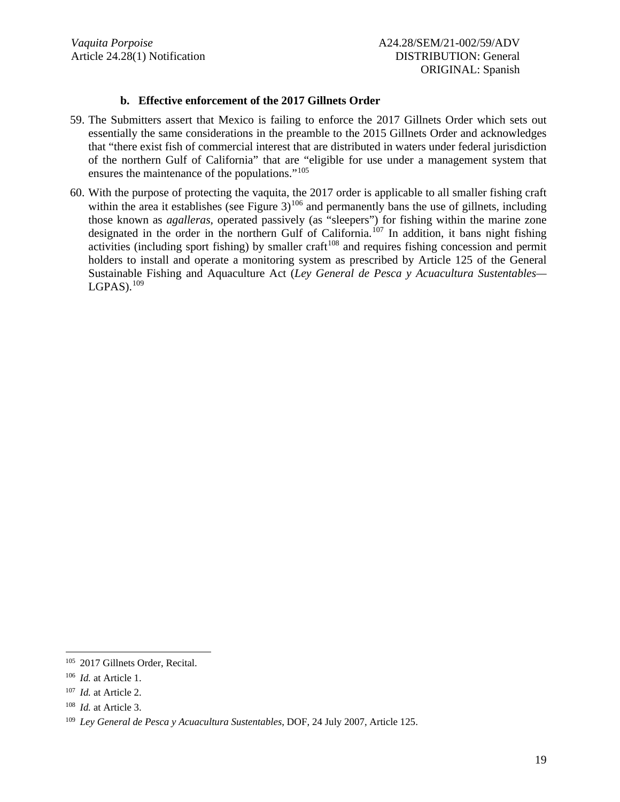### **b. Effective enforcement of the 2017 Gillnets Order**

- 59. The Submitters assert that Mexico is failing to enforce the 2017 Gillnets Order which sets out essentially the same considerations in the preamble to the 2015 Gillnets Order and acknowledges that "there exist fish of commercial interest that are distributed in waters under federal jurisdiction of the northern Gulf of California" that are "eligible for use under a management system that ensures the maintenance of the populations."[105](#page-18-0)
- 60. With the purpose of protecting the vaquita, the 2017 order is applicable to all smaller fishing craft within the area it establishes (see Figure 3)<sup>[106](#page-18-1)</sup> and permanently bans the use of gillnets, including those known as *agalleras,* operated passively (as "sleepers") for fishing within the marine zone designated in the order in the northern Gulf of California.<sup>[107](#page-18-2)</sup> In addition, it bans night fishing activities (including sport fishing) by smaller craft<sup>[108](#page-18-3)</sup> and requires fishing concession and permit holders to install and operate a monitoring system as prescribed by Article 125 of the General Sustainable Fishing and Aquaculture Act (*Ley General de Pesca y Acuacultura Sustentables—*  $LGPAS$ ).  $^{109}$  $^{109}$  $^{109}$

<span id="page-18-0"></span><sup>105</sup> 2017 Gillnets Order, Recital.

<span id="page-18-1"></span><sup>106</sup> *Id.* at Article 1.

<span id="page-18-2"></span><sup>107</sup> *Id.* at Article 2.

<span id="page-18-3"></span><sup>108</sup> *Id.* at Article 3.

<span id="page-18-4"></span><sup>109</sup> *Ley General de Pesca y Acuacultura Sustentables*, DOF, 24 July 2007, Article 125.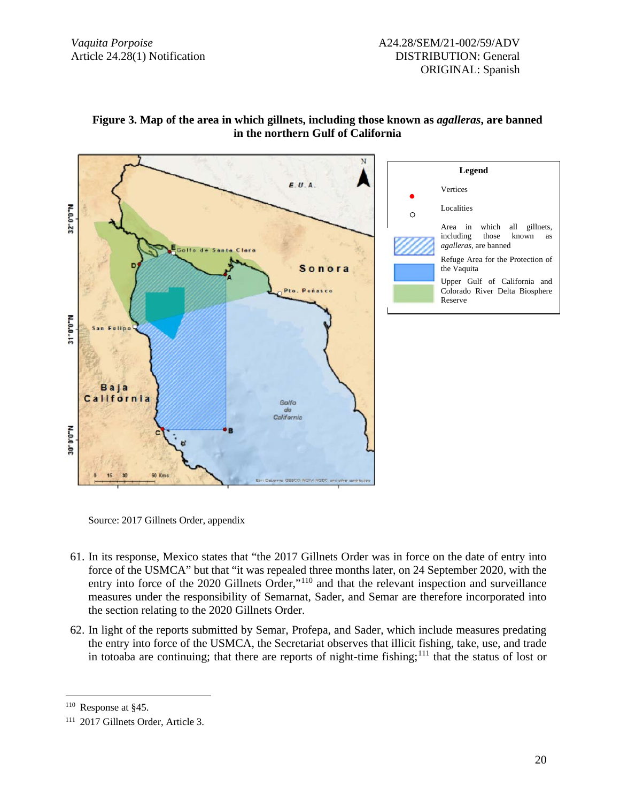

### **Figure 3. Map of the area in which gillnets, including those known as** *agalleras***, are banned in the northern Gulf of California**

Source: 2017 Gillnets Order, appendix

- 61. In its response, Mexico states that "the 2017 Gillnets Order was in force on the date of entry into force of the USMCA" but that "it was repealed three months later, on 24 September 2020, with the entry into force of the 2020 Gillnets Order,"<sup>[110](#page-19-0)</sup> and that the relevant inspection and surveillance measures under the responsibility of Semarnat, Sader, and Semar are therefore incorporated into the section relating to the 2020 Gillnets Order.
- 62. In light of the reports submitted by Semar, Profepa, and Sader, which include measures predating the entry into force of the USMCA, the Secretariat observes that illicit fishing, take, use, and trade in totoaba are continuing; that there are reports of night-time fishing;<sup>[111](#page-19-1)</sup> that the status of lost or

<span id="page-19-0"></span><sup>110</sup> Response at §45.

<span id="page-19-1"></span><sup>111</sup> 2017 Gillnets Order, Article 3.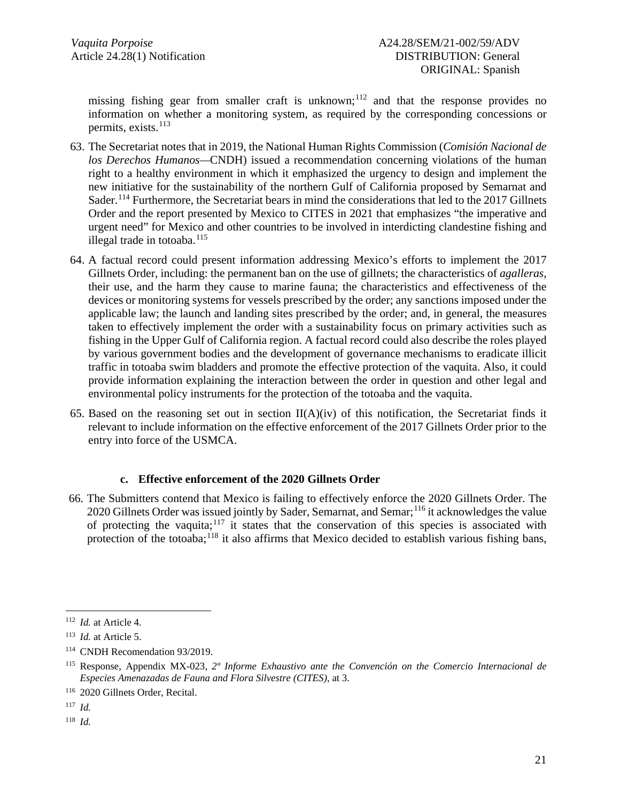missing fishing gear from smaller craft is unknown;<sup>[112](#page-20-0)</sup> and that the response provides no information on whether a monitoring system, as required by the corresponding concessions or permits, exists. [113](#page-20-1)

- 63. The Secretariat notes that in 2019, the National Human Rights Commission (*Comisión Nacional de los Derechos Humanos—*CNDH) issued a recommendation concerning violations of the human right to a healthy environment in which it emphasized the urgency to design and implement the new initiative for the sustainability of the northern Gulf of California proposed by Semarnat and Sader.<sup>[114](#page-20-2)</sup> Furthermore, the Secretariat bears in mind the considerations that led to the 2017 Gillnets Order and the report presented by Mexico to CITES in 2021 that emphasizes "the imperative and urgent need" for Mexico and other countries to be involved in interdicting clandestine fishing and illegal trade in totoaba.<sup>[115](#page-20-3)</sup>
- 64. A factual record could present information addressing Mexico's efforts to implement the 2017 Gillnets Order, including: the permanent ban on the use of gillnets; the characteristics of *agalleras*, their use, and the harm they cause to marine fauna; the characteristics and effectiveness of the devices or monitoring systems for vessels prescribed by the order; any sanctions imposed under the applicable law; the launch and landing sites prescribed by the order; and, in general, the measures taken to effectively implement the order with a sustainability focus on primary activities such as fishing in the Upper Gulf of California region. A factual record could also describe the roles played by various government bodies and the development of governance mechanisms to eradicate illicit traffic in totoaba swim bladders and promote the effective protection of the vaquita. Also, it could provide information explaining the interaction between the order in question and other legal and environmental policy instruments for the protection of the totoaba and the vaquita.
- 65. Based on the reasoning set out in section  $II(A)(iv)$  of this notification, the Secretariat finds it relevant to include information on the effective enforcement of the 2017 Gillnets Order prior to the entry into force of the USMCA.

### **c. Effective enforcement of the 2020 Gillnets Order**

66. The Submitters contend that Mexico is failing to effectively enforce the 2020 Gillnets Order. The 2020 Gillnets Order was issued jointly by Sader, Semarnat, and Semar;<sup>[116](#page-20-4)</sup> it acknowledges the value of protecting the vaquita;<sup>[117](#page-20-5)</sup> it states that the conservation of this species is associated with protection of the totoaba;<sup>[118](#page-20-6)</sup> it also affirms that Mexico decided to establish various fishing bans,

<span id="page-20-5"></span><sup>117</sup> *Id.*

<span id="page-20-6"></span><sup>118</sup> *Id.*

<span id="page-20-0"></span><sup>112</sup> *Id.* at Article 4.

<span id="page-20-1"></span><sup>113</sup> *Id.* at Article 5.

<span id="page-20-2"></span><sup>114</sup> CNDH Recomendation 93/2019.

<span id="page-20-3"></span><sup>115</sup> Response, Appendix MX-023, *2º Informe Exhaustivo ante the Convención on the Comercio Internacional de Especies Amenazadas de Fauna and Flora Silvestre (CITES)*, at 3.

<span id="page-20-4"></span><sup>116</sup> 2020 Gillnets Order, Recital.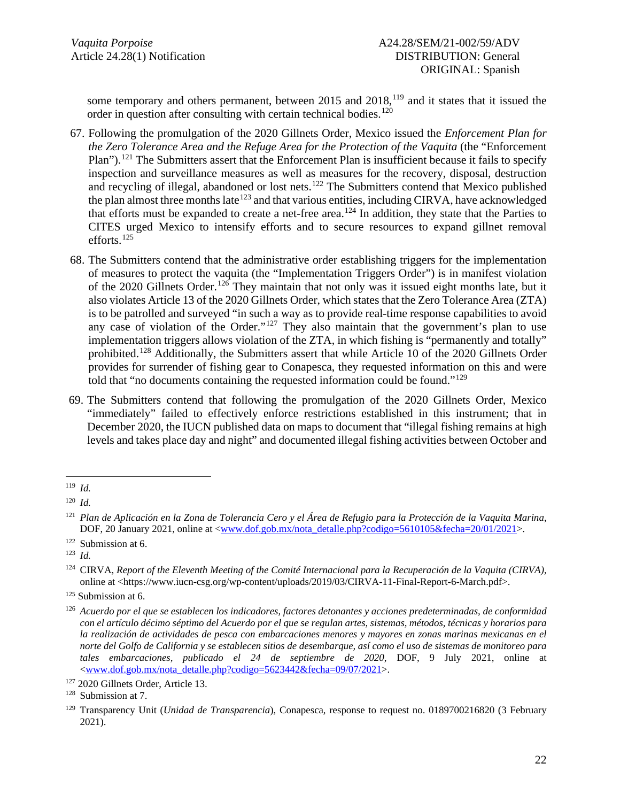some temporary and others permanent, between 2015 and 2018,<sup>[119](#page-21-0)</sup> and it states that it issued the order in question after consulting with certain technical bodies.<sup>[120](#page-21-1)</sup>

- 67. Following the promulgation of the 2020 Gillnets Order, Mexico issued the *Enforcement Plan for the Zero Tolerance Area and the Refuge Area for the Protection of the Vaquita* (the "Enforcement Plan").<sup>[121](#page-21-2)</sup> The Submitters assert that the Enforcement Plan is insufficient because it fails to specify inspection and surveillance measures as well as measures for the recovery, disposal, destruction and recycling of illegal, abandoned or lost nets.<sup>[122](#page-21-3)</sup> The Submitters contend that Mexico published the plan almost three months late<sup>[123](#page-21-4)</sup> and that various entities, including CIRVA, have acknowledged that efforts must be expanded to create a net-free area.<sup>[124](#page-21-5)</sup> In addition, they state that the Parties to CITES urged Mexico to intensify efforts and to secure resources to expand gillnet removal efforts. [125](#page-21-6)
- 68. The Submitters contend that the administrative order establishing triggers for the implementation of measures to protect the vaquita (the "Implementation Triggers Order") is in manifest violation of the 2020 Gillnets Order.<sup>[126](#page-21-7)</sup> They maintain that not only was it issued eight months late, but it also violates Article 13 of the 2020 Gillnets Order, which states that the Zero Tolerance Area (ZTA) is to be patrolled and surveyed "in such a way as to provide real-time response capabilities to avoid any case of violation of the Order." $127$  They also maintain that the government's plan to use implementation triggers allows violation of the ZTA, in which fishing is "permanently and totally" prohibited.[128](#page-21-9) Additionally, the Submitters assert that while Article 10 of the 2020 Gillnets Order provides for surrender of fishing gear to Conapesca, they requested information on this and were told that "no documents containing the requested information could be found."[129](#page-21-10)
- 69. The Submitters contend that following the promulgation of the 2020 Gillnets Order, Mexico "immediately" failed to effectively enforce restrictions established in this instrument; that in December 2020, the IUCN published data on maps to document that "illegal fishing remains at high levels and takes place day and night" and documented illegal fishing activities between October and

<span id="page-21-0"></span><sup>119</sup> *Id.*

<span id="page-21-1"></span><sup>120</sup> *Id.*

<span id="page-21-2"></span><sup>121</sup> *Plan de Aplicación en la Zona de Tolerancia Cero y el Área de Refugio para la Protección de la Vaquita Marina*, DOF, 20 January 2021, online at [<www.dof.gob.mx/nota\\_detalle.php?codigo=5610105&fecha=20/01/2021>](http://www.dof.gob.mx/nota_detalle.php?codigo=5610105&fecha=20/01/2021).

<span id="page-21-3"></span><sup>122</sup> Submission at 6.

<span id="page-21-4"></span><sup>123</sup> *Id.*

<span id="page-21-5"></span><sup>124</sup> CIRVA, *Report of the Eleventh Meeting of the Comité Internacional para la Recuperación de la Vaquita (CIRVA)*, online at <https://www.iucn-csg.org/wp-content/uploads/2019/03/CIRVA-11-Final-Report-6-March.pdf>.

<span id="page-21-6"></span><sup>&</sup>lt;sup>125</sup> Submission at 6.

<span id="page-21-7"></span><sup>126</sup> *Acuerdo por el que se establecen los indicadores, factores detonantes y acciones predeterminadas, de conformidad con el artículo décimo séptimo del Acuerdo por el que se regulan artes, sistemas, métodos, técnicas y horarios para la realización de actividades de pesca con embarcaciones menores y mayores en zonas marinas mexicanas en el norte del Golfo de California y se establecen sitios de desembarque, así como el uso de sistemas de monitoreo para tales embarcaciones, publicado el 24 de septiembre de 2020*, DOF, 9 July 2021, online at [<www.dof.gob.mx/nota\\_detalle.php?codigo=5623442&fecha=09/07/2021>](http://www.dof.gob.mx/nota_detalle.php?codigo=5623442&fecha=09/07/2021).

<span id="page-21-8"></span><sup>127</sup> 2020 Gillnets Order, Article 13.

<span id="page-21-9"></span><sup>128</sup> Submission at 7.

<span id="page-21-10"></span><sup>129</sup> Transparency Unit (*Unidad de Transparencia*), Conapesca, response to request no. 0189700216820 (3 February 2021).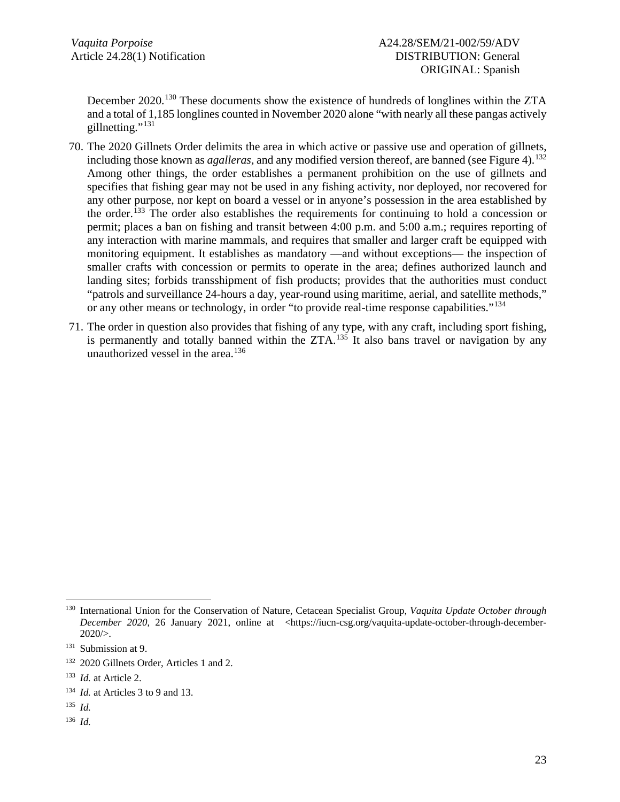December 2020.<sup>[130](#page-22-0)</sup> These documents show the existence of hundreds of longlines within the ZTA and a total of 1,185 longlines counted in November 2020 alone "with nearly all these pangas actively gillnetting."<sup>[131](#page-22-1)</sup>

- 70. The 2020 Gillnets Order delimits the area in which active or passive use and operation of gillnets, including those known as *agalleras*, and any modified version thereof, are banned (see Figure 4).<sup>[132](#page-22-2)</sup> Among other things, the order establishes a permanent prohibition on the use of gillnets and specifies that fishing gear may not be used in any fishing activity, nor deployed, nor recovered for any other purpose, nor kept on board a vessel or in anyone's possession in the area established by the order.<sup>[133](#page-22-3)</sup> The order also establishes the requirements for continuing to hold a concession or permit; places a ban on fishing and transit between 4:00 p.m. and 5:00 a.m.; requires reporting of any interaction with marine mammals, and requires that smaller and larger craft be equipped with monitoring equipment. It establishes as mandatory —and without exceptions— the inspection of smaller crafts with concession or permits to operate in the area; defines authorized launch and landing sites; forbids transshipment of fish products; provides that the authorities must conduct "patrols and surveillance 24-hours a day, year-round using maritime, aerial, and satellite methods," or any other means or technology, in order "to provide real-time response capabilities."[134](#page-22-4)
- 71. The order in question also provides that fishing of any type, with any craft, including sport fishing, is permanently and totally banned within the  $ZTA$ <sup>[135](#page-22-5)</sup> It also bans travel or navigation by any unauthorized vessel in the area. [136](#page-22-6)

<span id="page-22-0"></span><sup>130</sup> International Union for the Conservation of Nature, Cetacean Specialist Group, *Vaquita Update October through December 2020*, 26 January 2021, online at <https://iucn-csg.org/vaquita-update-october-through-december- $2020/$ .

<span id="page-22-1"></span><sup>&</sup>lt;sup>131</sup> Submission at 9.

<span id="page-22-2"></span><sup>&</sup>lt;sup>132</sup> 2020 Gillnets Order, Articles 1 and 2.

<span id="page-22-3"></span><sup>133</sup> *Id.* at Article 2.

<span id="page-22-4"></span><sup>134</sup> *Id.* at Articles 3 to 9 and 13.

<span id="page-22-5"></span><sup>135</sup> *Id.*

<span id="page-22-6"></span><sup>136</sup> *Id.*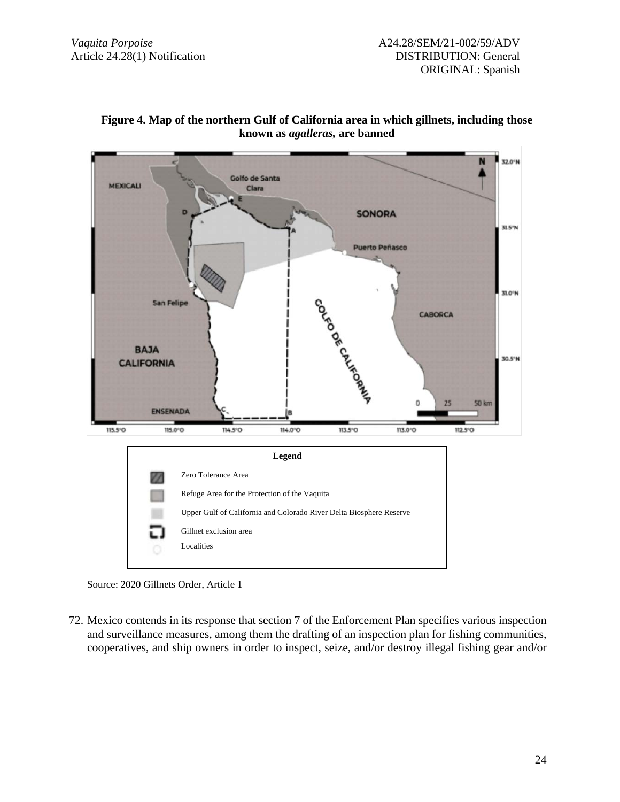



72. Mexico contends in its response that section 7 of the Enforcement Plan specifies various inspection and surveillance measures, among them the drafting of an inspection plan for fishing communities, cooperatives, and ship owners in order to inspect, seize, and/or destroy illegal fishing gear and/or

Source: 2020 Gillnets Order, Article 1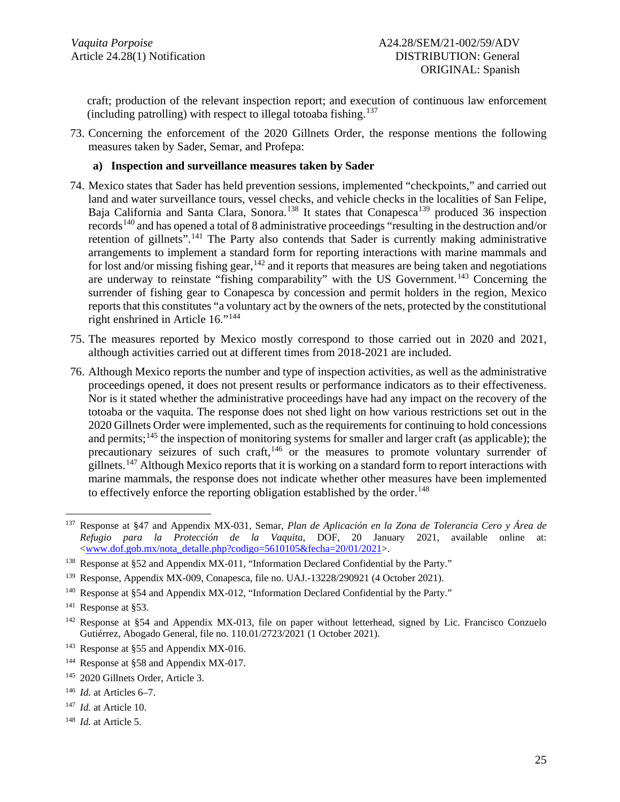craft; production of the relevant inspection report; and execution of continuous law enforcement (including patrolling) with respect to illegal totoaba fishing. [137](#page-24-0)

73. Concerning the enforcement of the 2020 Gillnets Order, the response mentions the following measures taken by Sader, Semar, and Profepa:

#### **a) Inspection and surveillance measures taken by Sader**

- 74. Mexico states that Sader has held prevention sessions, implemented "checkpoints," and carried out land and water surveillance tours, vessel checks, and vehicle checks in the localities of San Felipe, Baja California and Santa Clara, Sonora.<sup>[138](#page-24-1)</sup> It states that Conapesca<sup>[139](#page-24-2)</sup> produced 36 inspection records[140](#page-24-3) and has opened a total of 8 administrative proceedings "resulting in the destruction and/or retention of gillnets".<sup>[141](#page-24-4)</sup> The Party also contends that Sader is currently making administrative arrangements to implement a standard form for reporting interactions with marine mammals and for lost and/or missing fishing gear, <sup>[142](#page-24-5)</sup> and it reports that measures are being taken and negotiations are underway to reinstate "fishing comparability" with the US Government.<sup>[143](#page-24-6)</sup> Concerning the surrender of fishing gear to Conapesca by concession and permit holders in the region, Mexico reports that this constitutes "a voluntary act by the owners of the nets, protected by the constitutional right enshrined in Article 16."[144](#page-24-7)
- 75. The measures reported by Mexico mostly correspond to those carried out in 2020 and 2021, although activities carried out at different times from 2018-2021 are included.
- 76. Although Mexico reports the number and type of inspection activities, as well as the administrative proceedings opened, it does not present results or performance indicators as to their effectiveness. Nor is it stated whether the administrative proceedings have had any impact on the recovery of the totoaba or the vaquita. The response does not shed light on how various restrictions set out in the 2020 Gillnets Order were implemented, such as the requirements for continuing to hold concessions and permits;<sup>[145](#page-24-8)</sup> the inspection of monitoring systems for smaller and larger craft (as applicable); the precautionary seizures of such craft,<sup>[146](#page-24-9)</sup> or the measures to promote voluntary surrender of gillnets.<sup>[147](#page-24-10)</sup> Although Mexico reports that it is working on a standard form to report interactions with marine mammals, the response does not indicate whether other measures have been implemented to effectively enforce the reporting obligation established by the order.<sup>[148](#page-24-11)</sup>

<span id="page-24-0"></span><sup>137</sup> Response at §47 and Appendix MX-031, Semar, *Plan de Aplicación en la Zona de Tolerancia Cero y Área de Refugio para la Protección de la Vaquita*, DOF, 20 January 2021, available online at: [<www.dof.gob.mx/nota\\_detalle.php?codigo=5610105&fecha=20/01/2021>](http://www.dof.gob.mx/nota_detalle.php?codigo=5610105&fecha=20/01/2021).

<span id="page-24-1"></span><sup>&</sup>lt;sup>138</sup> Response at §52 and Appendix MX-011, "Information Declared Confidential by the Party."

<span id="page-24-2"></span><sup>&</sup>lt;sup>139</sup> Response, Appendix MX-009, Conapesca, file no. UAJ.-13228/290921 (4 October 2021).

<span id="page-24-3"></span><sup>&</sup>lt;sup>140</sup> Response at §54 and Appendix MX-012, "Information Declared Confidential by the Party."

<span id="page-24-4"></span><sup>141</sup> Response at §53.

<span id="page-24-5"></span> $142$  Response at §54 and Appendix MX-013, file on paper without letterhead, signed by Lic. Francisco Conzuelo Gutiérrez, Abogado General, file no. 110.01/2723/2021 (1 October 2021).

<span id="page-24-6"></span><sup>&</sup>lt;sup>143</sup> Response at §55 and Appendix MX-016.

<span id="page-24-7"></span><sup>&</sup>lt;sup>144</sup> Response at §58 and Appendix MX-017.

<span id="page-24-8"></span><sup>145</sup> 2020 Gillnets Order, Article 3.

<span id="page-24-9"></span><sup>146</sup> *Id.* at Articles 6–7.

<span id="page-24-10"></span><sup>147</sup> *Id.* at Article 10.

<span id="page-24-11"></span><sup>148</sup> *Id.* at Article 5.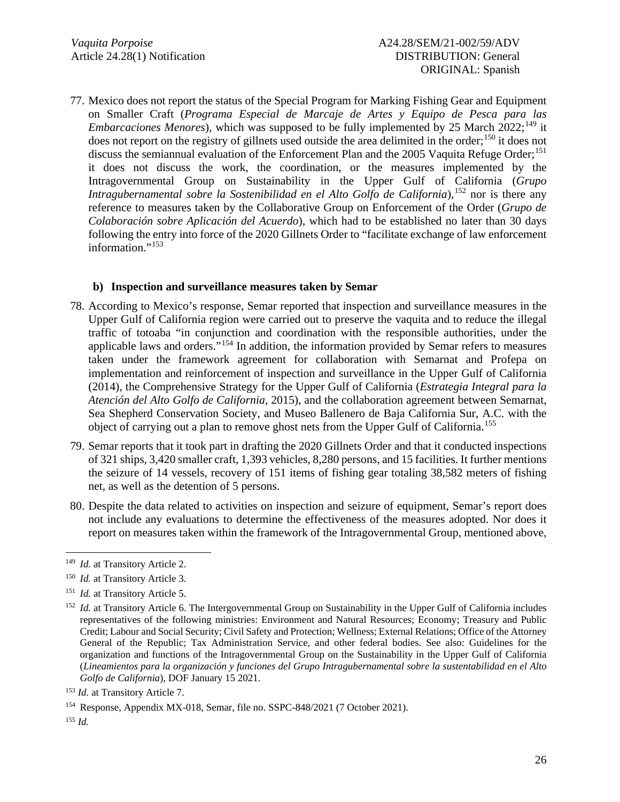77. Mexico does not report the status of the Special Program for Marking Fishing Gear and Equipment on Smaller Craft (*Programa Especial de Marcaje de Artes y Equipo de Pesca para las Embarcaciones Menores*), which was supposed to be fully implemented by 25 March 2022;<sup>[149](#page-25-0)</sup> it does not report on the registry of gillnets used outside the area delimited in the order; [150](#page-25-1) it does not discuss the semiannual evaluation of the Enforcement Plan and the 2005 Vaquita Refuge Order;<sup>[151](#page-25-2)</sup> it does not discuss the work, the coordination, or the measures implemented by the Intragovernmental Group on Sustainability in the Upper Gulf of California (*Grupo Intragubernamental sobre la Sostenibilidad en el Alto Golfo de California*), [152](#page-25-3) nor is there any reference to measures taken by the Collaborative Group on Enforcement of the Order (*Grupo de Colaboración sobre Aplicación del Acuerdo*), which had to be established no later than 30 days following the entry into force of the 2020 Gillnets Order to "facilitate exchange of law enforcement information."<sup>[153](#page-25-4)</sup>

### **b) Inspection and surveillance measures taken by Semar**

- 78. According to Mexico's response, Semar reported that inspection and surveillance measures in the Upper Gulf of California region were carried out to preserve the vaquita and to reduce the illegal traffic of totoaba "in conjunction and coordination with the responsible authorities, under the applicable laws and orders."[154](#page-25-5) In addition, the information provided by Semar refers to measures taken under the framework agreement for collaboration with Semarnat and Profepa on implementation and reinforcement of inspection and surveillance in the Upper Gulf of California (2014), the Comprehensive Strategy for the Upper Gulf of California (*Estrategia Integral para la Atención del Alto Golfo de California,* 2015), and the collaboration agreement between Semarnat, Sea Shepherd Conservation Society, and Museo Ballenero de Baja California Sur, A.C. with the object of carrying out a plan to remove ghost nets from the Upper Gulf of California.<sup>[155](#page-25-6)</sup>
- 79. Semar reports that it took part in drafting the 2020 Gillnets Order and that it conducted inspections of 321 ships, 3,420 smaller craft, 1,393 vehicles, 8,280 persons, and 15 facilities. It further mentions the seizure of 14 vessels, recovery of 151 items of fishing gear totaling 38,582 meters of fishing net, as well as the detention of 5 persons.
- 80. Despite the data related to activities on inspection and seizure of equipment, Semar's report does not include any evaluations to determine the effectiveness of the measures adopted. Nor does it report on measures taken within the framework of the Intragovernmental Group, mentioned above,

<span id="page-25-0"></span><sup>149</sup> *Id.* at Transitory Article 2.

<span id="page-25-1"></span><sup>150</sup> *Id.* at Transitory Article 3.

<span id="page-25-2"></span><sup>151</sup> *Id.* at Transitory Article 5.

<span id="page-25-3"></span><sup>&</sup>lt;sup>152</sup> *Id.* at Transitory Article 6. The Intergovernmental Group on Sustainability in the Upper Gulf of California includes representatives of the following ministries: Environment and Natural Resources; Economy; Treasury and Public Credit; Labour and Social Security; Civil Safety and Protection; Wellness; External Relations; Office of the Attorney General of the Republic; Tax Administration Service, and other federal bodies. See also: Guidelines for the organization and functions of the Intragovernmental Group on the Sustainability in the Upper Gulf of California (*Lineamientos para la organización y funciones del Grupo Intragubernamental sobre la sustentabilidad en el Alto Golfo de California*), DOF January 15 2021.

<span id="page-25-4"></span><sup>153</sup> *Id.* at Transitory Article 7.

<span id="page-25-5"></span><sup>154</sup> Response, Appendix MX-018, Semar, file no. SSPC-848/2021 (7 October 2021).

<span id="page-25-6"></span><sup>155</sup> *Id.*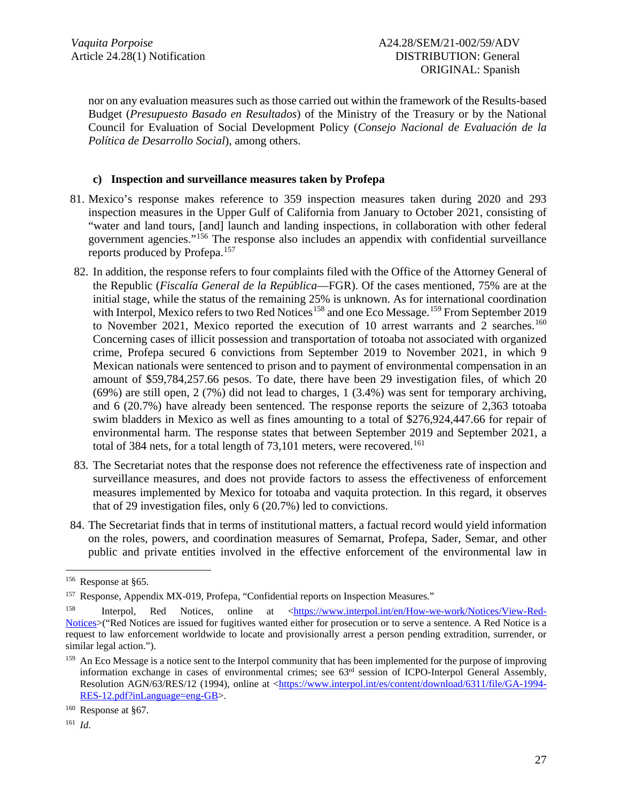nor on any evaluation measures such as those carried out within the framework of the Results-based Budget (*Presupuesto Basado en Resultados*) of the Ministry of the Treasury or by the National Council for Evaluation of Social Development Policy (*Consejo Nacional de Evaluación de la Política de Desarrollo Social*), among others.

### **c) Inspection and surveillance measures taken by Profepa**

- 81. Mexico's response makes reference to 359 inspection measures taken during 2020 and 293 inspection measures in the Upper Gulf of California from January to October 2021, consisting of "water and land tours, [and] launch and landing inspections, in collaboration with other federal government agencies."[156](#page-26-0) The response also includes an appendix with confidential surveillance reports produced by Profepa. [157](#page-26-1)
- 82. In addition, the response refers to four complaints filed with the Office of the Attorney General of the Republic (*Fiscalía General de la República*—FGR). Of the cases mentioned, 75% are at the initial stage, while the status of the remaining 25% is unknown. As for international coordination with Interpol, Mexico refers to two Red Notices<sup>[158](#page-26-2)</sup> and one Eco Message.<sup>[159](#page-26-3)</sup> From September 2019 to November 2021, Mexico reported the execution of 10 arrest warrants and 2 searches.<sup>[160](#page-26-4)</sup> Concerning cases of illicit possession and transportation of totoaba not associated with organized crime, Profepa secured 6 convictions from September 2019 to November 2021, in which 9 Mexican nationals were sentenced to prison and to payment of environmental compensation in an amount of \$59,784,257.66 pesos. To date, there have been 29 investigation files, of which 20 (69%) are still open, 2 (7%) did not lead to charges, 1 (3.4%) was sent for temporary archiving, and 6 (20.7%) have already been sentenced. The response reports the seizure of 2,363 totoaba swim bladders in Mexico as well as fines amounting to a total of \$276,924,447.66 for repair of environmental harm. The response states that between September 2019 and September 2021, a total of 384 nets, for a total length of 73,101 meters, were recovered. [161](#page-26-5)
- 83. The Secretariat notes that the response does not reference the effectiveness rate of inspection and surveillance measures, and does not provide factors to assess the effectiveness of enforcement measures implemented by Mexico for totoaba and vaquita protection. In this regard, it observes that of 29 investigation files, only 6 (20.7%) led to convictions.
- 84. The Secretariat finds that in terms of institutional matters, a factual record would yield information on the roles, powers, and coordination measures of Semarnat, Profepa, Sader, Semar, and other public and private entities involved in the effective enforcement of the environmental law in

<span id="page-26-0"></span><sup>156</sup> Response at §65.

<span id="page-26-1"></span><sup>&</sup>lt;sup>157</sup> Response, Appendix MX-019, Profepa, "Confidential reports on Inspection Measures."

<span id="page-26-2"></span><sup>&</sup>lt;sup>158</sup> Interpol, Red Notices, online at [<https://www.interpol.int/en/How-we-work/Notices/View-Red-](https://www.interpol.int/en/How-we-work/Notices/View-Red-Notices)[Notices>](https://www.interpol.int/en/How-we-work/Notices/View-Red-Notices)("Red Notices are issued for fugitives wanted either for prosecution or to serve a sentence. A Red Notice is a request to law enforcement worldwide to locate and provisionally arrest a person pending extradition, surrender, or similar legal action.").

<span id="page-26-3"></span><sup>&</sup>lt;sup>159</sup> An Eco Message is a notice sent to the Interpol community that has been implemented for the purpose of improving information exchange in cases of environmental crimes; see  $63<sup>rd</sup>$  session of ICPO-Interpol General Assembly, Resolution AGN/63/RES/12 (1994), online at [<https://www.interpol.int/es/content/download/6311/file/GA-1994-](https://www.interpol.int/es/content/download/6311/file/GA-1994-RES-12.pdf?inLanguage=eng-GB) [RES-12.pdf?inLanguage=eng-GB>](https://www.interpol.int/es/content/download/6311/file/GA-1994-RES-12.pdf?inLanguage=eng-GB).

<span id="page-26-4"></span><sup>160</sup> Response at §67.

<span id="page-26-5"></span><sup>161</sup> *Id*.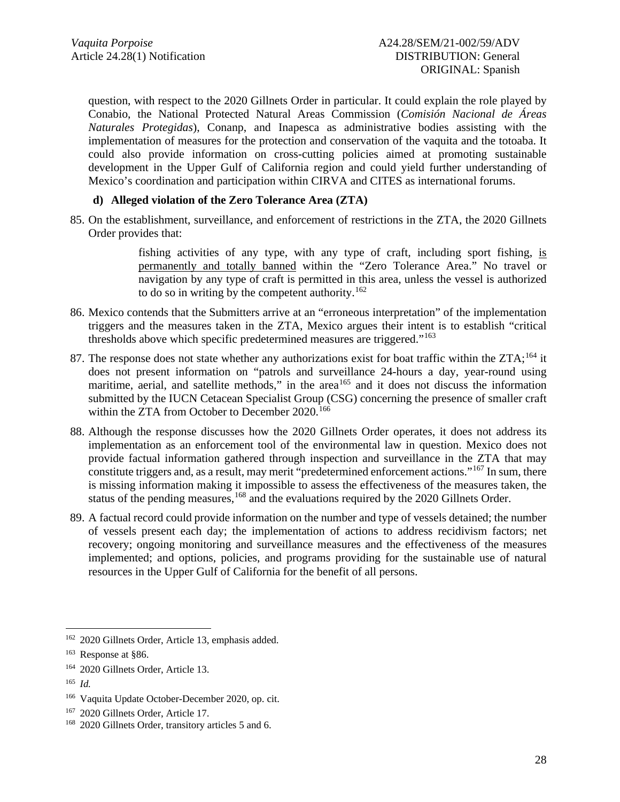question, with respect to the 2020 Gillnets Order in particular. It could explain the role played by Conabio, the National Protected Natural Areas Commission (*Comisión Nacional de Áreas Naturales Protegidas*), Conanp, and Inapesca as administrative bodies assisting with the implementation of measures for the protection and conservation of the vaquita and the totoaba. It could also provide information on cross-cutting policies aimed at promoting sustainable development in the Upper Gulf of California region and could yield further understanding of Mexico's coordination and participation within CIRVA and CITES as international forums.

### **d) Alleged violation of the Zero Tolerance Area (ZTA)**

85. On the establishment, surveillance, and enforcement of restrictions in the ZTA, the 2020 Gillnets Order provides that:

> fishing activities of any type, with any type of craft, including sport fishing, is permanently and totally banned within the "Zero Tolerance Area." No travel or navigation by any type of craft is permitted in this area, unless the vessel is authorized to do so in writing by the competent authority. [162](#page-27-0)

- 86. Mexico contends that the Submitters arrive at an "erroneous interpretation" of the implementation triggers and the measures taken in the ZTA, Mexico argues their intent is to establish "critical thresholds above which specific predetermined measures are triggered."[163](#page-27-1)
- 87. The response does not state whether any authorizations exist for boat traffic within the ZTA;<sup>[164](#page-27-2)</sup> it does not present information on "patrols and surveillance 24-hours a day, year-round using maritime, aerial, and satellite methods," in the area<sup>[165](#page-27-3)</sup> and it does not discuss the information submitted by the IUCN Cetacean Specialist Group (CSG) concerning the presence of smaller craft within the ZTA from October to December 2020. [166](#page-27-4)
- 88. Although the response discusses how the 2020 Gillnets Order operates, it does not address its implementation as an enforcement tool of the environmental law in question. Mexico does not provide factual information gathered through inspection and surveillance in the ZTA that may constitute triggers and, as a result, may merit "predetermined enforcement actions."<sup>[167](#page-27-5)</sup> In sum, there is missing information making it impossible to assess the effectiveness of the measures taken, the status of the pending measures, <sup>[168](#page-27-6)</sup> and the evaluations required by the 2020 Gillnets Order.
- 89. A factual record could provide information on the number and type of vessels detained; the number of vessels present each day; the implementation of actions to address recidivism factors; net recovery; ongoing monitoring and surveillance measures and the effectiveness of the measures implemented; and options, policies, and programs providing for the sustainable use of natural resources in the Upper Gulf of California for the benefit of all persons.

<span id="page-27-0"></span><sup>162</sup> 2020 Gillnets Order, Article 13, emphasis added.

<span id="page-27-1"></span><sup>163</sup> Response at §86.

<span id="page-27-2"></span><sup>164</sup> 2020 Gillnets Order, Article 13.

<span id="page-27-3"></span><sup>165</sup> *Id.*

<span id="page-27-4"></span><sup>166</sup> Vaquita Update October-December 2020, op. cit.

<span id="page-27-5"></span><sup>&</sup>lt;sup>167</sup> 2020 Gillnets Order, Article 17.

<span id="page-27-6"></span><sup>168</sup> 2020 Gillnets Order, transitory articles 5 and 6.